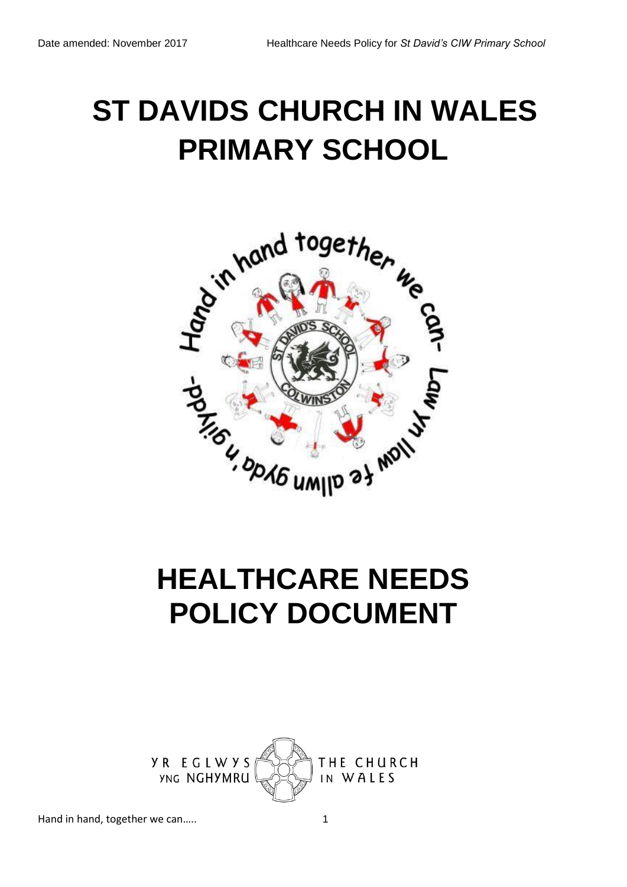# **ST DAVIDS CHURCH IN WALES PRIMARY SCHOOL**



# **HEALTHCARE NEEDS POLICY DOCUMENT**

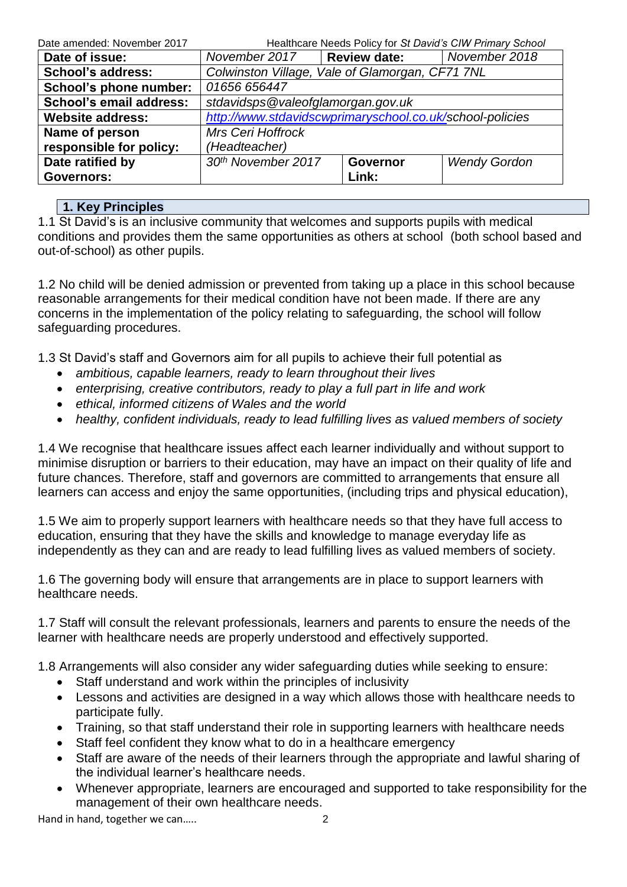| Date amended: November 2017 | Healthcare Needs Policy for St David's CIW Primary School |                                   |  |  |  |  |
|-----------------------------|-----------------------------------------------------------|-----------------------------------|--|--|--|--|
| Date of issue:              | <b>Review date:</b><br>November 2018<br>November 2017     |                                   |  |  |  |  |
| <b>School's address:</b>    | Colwinston Village, Vale of Glamorgan, CF71 7NL           |                                   |  |  |  |  |
| School's phone number:      | 01656 656447                                              |                                   |  |  |  |  |
| School's email address:     |                                                           | stdavidsps@valeofglamorgan.gov.uk |  |  |  |  |
| <b>Website address:</b>     | http://www.stdavidscwprimaryschool.co.uk/school-policies  |                                   |  |  |  |  |
| Name of person              | <b>Mrs Ceri Hoffrock</b>                                  |                                   |  |  |  |  |
| responsible for policy:     | (Headteacher)                                             |                                   |  |  |  |  |
| Date ratified by            | 30th November 2017<br><b>Wendy Gordon</b><br>Governor     |                                   |  |  |  |  |
| <b>Governors:</b>           | Link:                                                     |                                   |  |  |  |  |

# **1. Key Principles**

1.1 St David's is an inclusive community that welcomes and supports pupils with medical conditions and provides them the same opportunities as others at school (both school based and out-of-school) as other pupils.

1.2 No child will be denied admission or prevented from taking up a place in this school because reasonable arrangements for their medical condition have not been made. If there are any concerns in the implementation of the policy relating to safeguarding, the school will follow safeguarding procedures.

1.3 St David's staff and Governors aim for all pupils to achieve their full potential as

- *ambitious, capable learners, ready to learn throughout their lives*
- *enterprising, creative contributors, ready to play a full part in life and work*
- *ethical, informed citizens of Wales and the world*
- *healthy, confident individuals, ready to lead fulfilling lives as valued members of society*

1.4 We recognise that healthcare issues affect each learner individually and without support to minimise disruption or barriers to their education, may have an impact on their quality of life and future chances. Therefore, staff and governors are committed to arrangements that ensure all learners can access and enjoy the same opportunities, (including trips and physical education),

1.5 We aim to properly support learners with healthcare needs so that they have full access to education, ensuring that they have the skills and knowledge to manage everyday life as independently as they can and are ready to lead fulfilling lives as valued members of society.

1.6 The governing body will ensure that arrangements are in place to support learners with healthcare needs.

1.7 Staff will consult the relevant professionals, learners and parents to ensure the needs of the learner with healthcare needs are properly understood and effectively supported.

1.8 Arrangements will also consider any wider safeguarding duties while seeking to ensure:

- Staff understand and work within the principles of inclusivity
- Lessons and activities are designed in a way which allows those with healthcare needs to participate fully.
- Training, so that staff understand their role in supporting learners with healthcare needs
- Staff feel confident they know what to do in a healthcare emergency
- Staff are aware of the needs of their learners through the appropriate and lawful sharing of the individual learner's healthcare needs.
- Whenever appropriate, learners are encouraged and supported to take responsibility for the management of their own healthcare needs.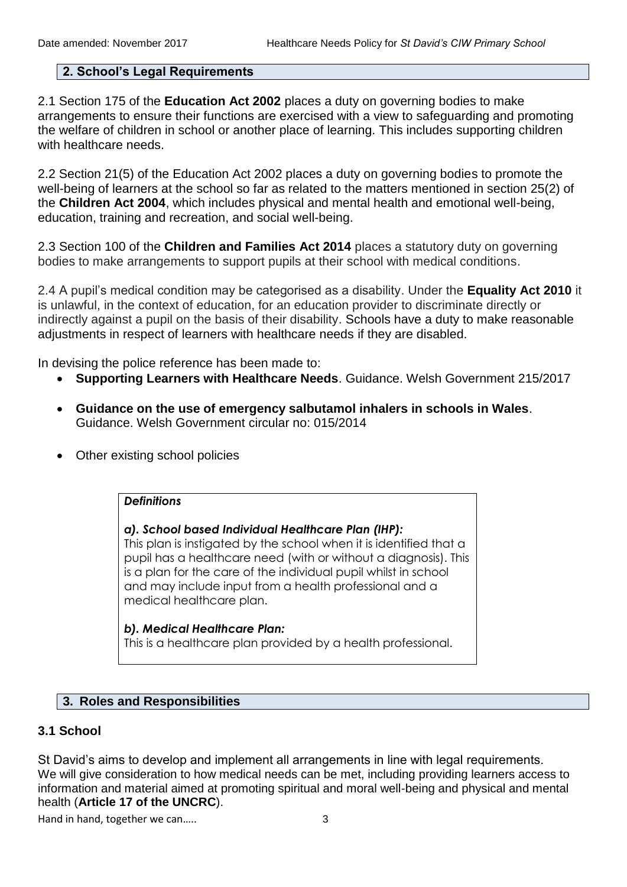# **2. School's Legal Requirements**

2.1 Section 175 of the **Education Act 2002** places a duty on governing bodies to make arrangements to ensure their functions are exercised with a view to safeguarding and promoting the welfare of children in school or another place of learning. This includes supporting children with healthcare needs.

2.2 Section 21(5) of the Education Act 2002 places a duty on governing bodies to promote the well-being of learners at the school so far as related to the matters mentioned in section 25(2) of the **Children Act 2004**, which includes physical and mental health and emotional well-being, education, training and recreation, and social well-being.

2.3 Section 100 of the **[Children and Families Act 2014](http://www.legislation.gov.uk/ukpga/2014/6/section/100/enacted)** places a statutory duty on governing bodies to make arrangements to support pupils at their school with medical conditions.

2.4 A pupil's medical condition may be categorised as a disability. Under the **Equality Act 2010** it is unlawful, in the context of education, for an education provider to discriminate directly or indirectly against a pupil on the basis of their disability. Schools have a duty to make reasonable adjustments in respect of learners with healthcare needs if they are disabled.

In devising the police reference has been made to:

- **Supporting Learners with Healthcare Needs**. Guidance. Welsh Government 215/2017
- **Guidance on the use of emergency salbutamol inhalers in schools in Wales**. Guidance. Welsh Government circular no: 015/2014
- Other existing school policies

# *Definitions*

#### *a). School based Individual Healthcare Plan (IHP):*

This plan is instigated by the school when it is identified that a pupil has a healthcare need (with or without a diagnosis). This is a plan for the care of the individual pupil whilst in school and may include input from a health professional and a medical healthcare plan.

#### *b). Medical Healthcare Plan:*

This is a healthcare plan provided by a health professional.

# **3. Roles and Responsibilities**

#### **3.1 School**

St David's aims to develop and implement all arrangements in line with legal requirements. We will give consideration to how medical needs can be met, including providing learners access to information and material aimed at promoting spiritual and moral well-being and physical and mental health (**Article 17 of the UNCRC**).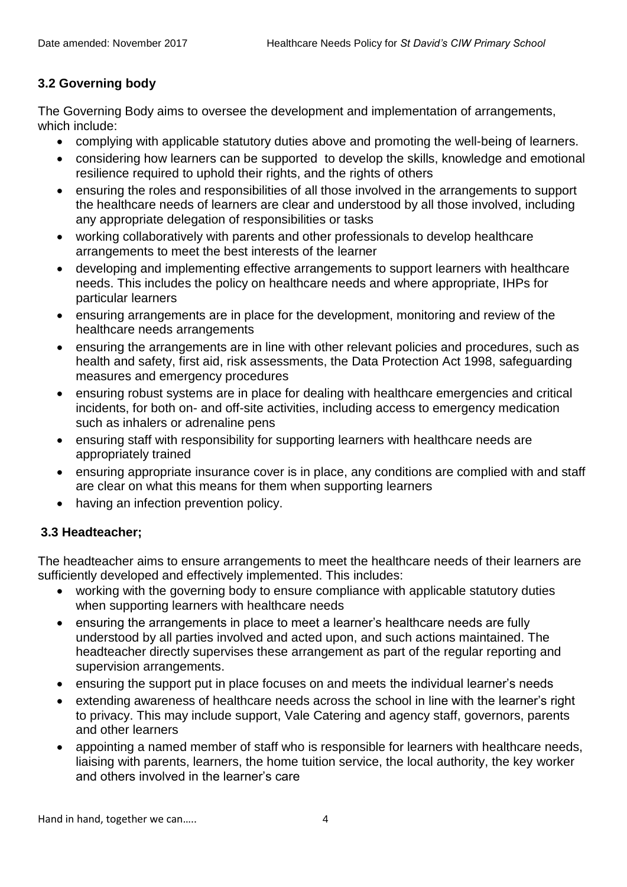# **3.2 Governing body**

The Governing Body aims to oversee the development and implementation of arrangements, which include:

- complying with applicable statutory duties above and promoting the well-being of learners.
- considering how learners can be supported to develop the skills, knowledge and emotional resilience required to uphold their rights, and the rights of others
- ensuring the roles and responsibilities of all those involved in the arrangements to support the healthcare needs of learners are clear and understood by all those involved, including any appropriate delegation of responsibilities or tasks
- working collaboratively with parents and other professionals to develop healthcare arrangements to meet the best interests of the learner
- developing and implementing effective arrangements to support learners with healthcare needs. This includes the policy on healthcare needs and where appropriate, IHPs for particular learners
- ensuring arrangements are in place for the development, monitoring and review of the healthcare needs arrangements
- ensuring the arrangements are in line with other relevant policies and procedures, such as health and safety, first aid, risk assessments, the Data Protection Act 1998, safeguarding measures and emergency procedures
- ensuring robust systems are in place for dealing with healthcare emergencies and critical incidents, for both on- and off-site activities, including access to emergency medication such as inhalers or adrenaline pens
- ensuring staff with responsibility for supporting learners with healthcare needs are appropriately trained
- ensuring appropriate insurance cover is in place, any conditions are complied with and staff are clear on what this means for them when supporting learners
- having an infection prevention policy.

# **3.3 Headteacher;**

The headteacher aims to ensure arrangements to meet the healthcare needs of their learners are sufficiently developed and effectively implemented. This includes:

- working with the governing body to ensure compliance with applicable statutory duties when supporting learners with healthcare needs
- ensuring the arrangements in place to meet a learner's healthcare needs are fully understood by all parties involved and acted upon, and such actions maintained. The headteacher directly supervises these arrangement as part of the regular reporting and supervision arrangements.
- ensuring the support put in place focuses on and meets the individual learner's needs
- extending awareness of healthcare needs across the school in line with the learner's right to privacy. This may include support, Vale Catering and agency staff, governors, parents and other learners
- appointing a named member of staff who is responsible for learners with healthcare needs, liaising with parents, learners, the home tuition service, the local authority, the key worker and others involved in the learner's care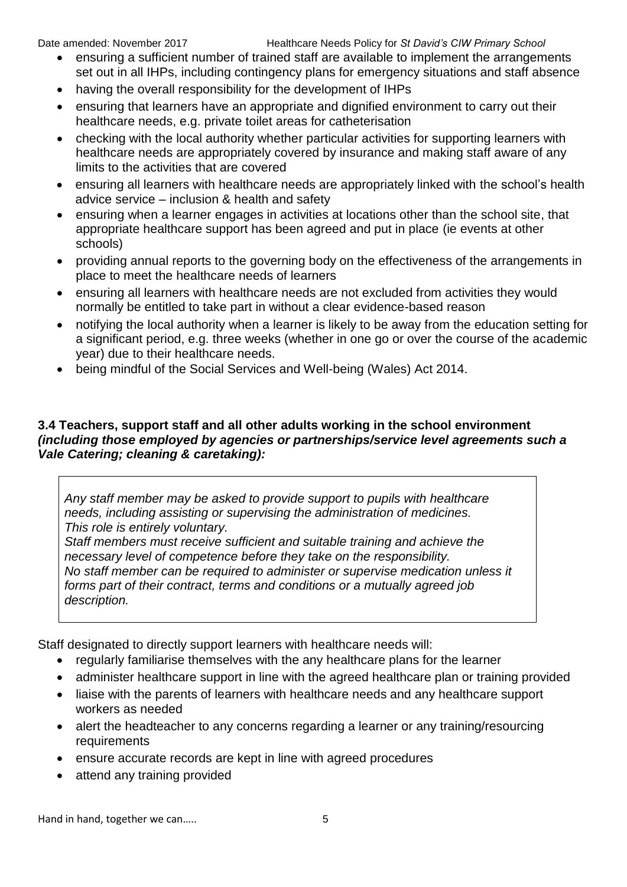- ensuring a sufficient number of trained staff are available to implement the arrangements set out in all IHPs, including contingency plans for emergency situations and staff absence
- having the overall responsibility for the development of IHPs
- ensuring that learners have an appropriate and dignified environment to carry out their healthcare needs, e.g. private toilet areas for catheterisation
- checking with the local authority whether particular activities for supporting learners with healthcare needs are appropriately covered by insurance and making staff aware of any limits to the activities that are covered
- ensuring all learners with healthcare needs are appropriately linked with the school's health advice service – inclusion & health and safety
- ensuring when a learner engages in activities at locations other than the school site, that appropriate healthcare support has been agreed and put in place (ie events at other schools)
- providing annual reports to the governing body on the effectiveness of the arrangements in place to meet the healthcare needs of learners
- ensuring all learners with healthcare needs are not excluded from activities they would normally be entitled to take part in without a clear evidence-based reason
- notifying the local authority when a learner is likely to be away from the education setting for a significant period, e.g. three weeks (whether in one go or over the course of the academic year) due to their healthcare needs.
- being mindful of the Social Services and Well-being (Wales) Act 2014.

# **3.4 Teachers, support staff and all other adults working in the school environment**  *(including those employed by agencies or partnerships/service level agreements such a Vale Catering; cleaning & caretaking):*

*Any staff member may be asked to provide support to pupils with healthcare needs, including assisting or supervising the administration of medicines. This role is entirely voluntary.*

*Staff members must receive sufficient and suitable training and achieve the necessary level of competence before they take on the responsibility. No staff member can be required to administer or supervise medication unless it forms part of their contract, terms and conditions or a mutually agreed job description.*

Staff designated to directly support learners with healthcare needs will:

- regularly familiarise themselves with the any healthcare plans for the learner
- administer healthcare support in line with the agreed healthcare plan or training provided
- liaise with the parents of learners with healthcare needs and any healthcare support workers as needed
- alert the headteacher to any concerns regarding a learner or any training/resourcing requirements
- ensure accurate records are kept in line with agreed procedures
- attend any training provided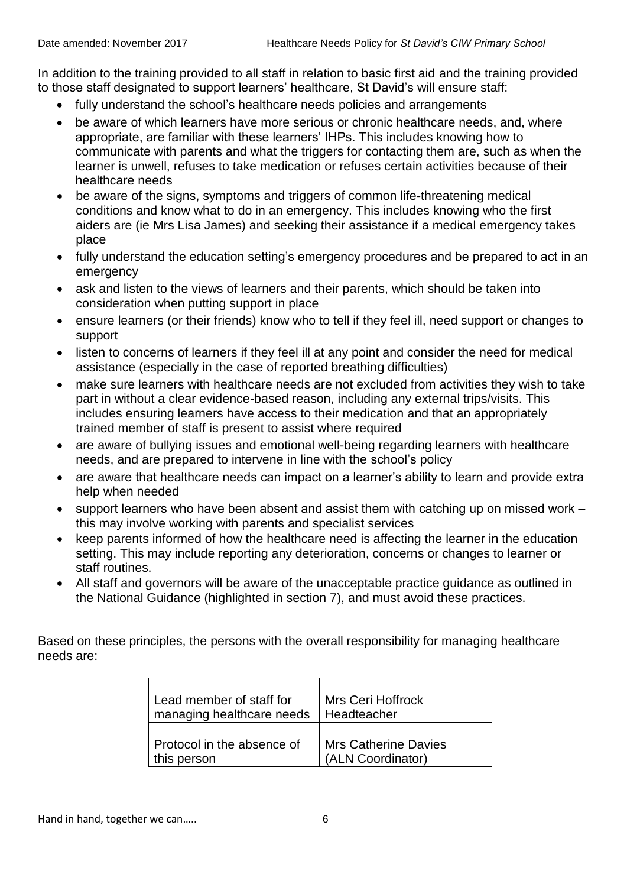In addition to the training provided to all staff in relation to basic first aid and the training provided to those staff designated to support learners' healthcare, St David's will ensure staff:

- fully understand the school's healthcare needs policies and arrangements
- be aware of which learners have more serious or chronic healthcare needs, and, where appropriate, are familiar with these learners' IHPs. This includes knowing how to communicate with parents and what the triggers for contacting them are, such as when the learner is unwell, refuses to take medication or refuses certain activities because of their healthcare needs
- be aware of the signs, symptoms and triggers of common life-threatening medical conditions and know what to do in an emergency. This includes knowing who the first aiders are (ie Mrs Lisa James) and seeking their assistance if a medical emergency takes place
- fully understand the education setting's emergency procedures and be prepared to act in an emergency
- ask and listen to the views of learners and their parents, which should be taken into consideration when putting support in place
- ensure learners (or their friends) know who to tell if they feel ill, need support or changes to support
- listen to concerns of learners if they feel ill at any point and consider the need for medical assistance (especially in the case of reported breathing difficulties)
- make sure learners with healthcare needs are not excluded from activities they wish to take part in without a clear evidence-based reason, including any external trips/visits. This includes ensuring learners have access to their medication and that an appropriately trained member of staff is present to assist where required
- are aware of bullying issues and emotional well-being regarding learners with healthcare needs, and are prepared to intervene in line with the school's policy
- are aware that healthcare needs can impact on a learner's ability to learn and provide extra help when needed
- support learners who have been absent and assist them with catching up on missed work this may involve working with parents and specialist services
- keep parents informed of how the healthcare need is affecting the learner in the education setting. This may include reporting any deterioration, concerns or changes to learner or staff routines.
- All staff and governors will be aware of the unacceptable practice guidance as outlined in the National Guidance (highlighted in section 7), and must avoid these practices.

Based on these principles, the persons with the overall responsibility for managing healthcare needs are:

| Lead member of staff for   | Mrs Ceri Hoffrock           |
|----------------------------|-----------------------------|
| managing healthcare needs  | Headteacher                 |
| Protocol in the absence of | <b>Mrs Catherine Davies</b> |
| this person                | (ALN Coordinator)           |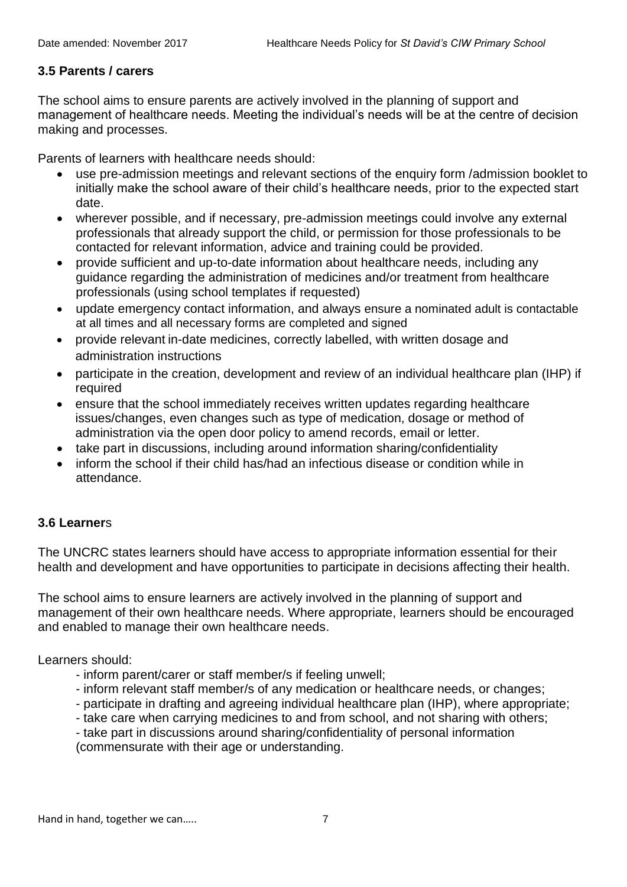# **3.5 Parents / carers**

The school aims to ensure parents are actively involved in the planning of support and management of healthcare needs. Meeting the individual's needs will be at the centre of decision making and processes.

Parents of learners with healthcare needs should:

- use pre-admission meetings and relevant sections of the enquiry form /admission booklet to initially make the school aware of their child's healthcare needs, prior to the expected start date.
- wherever possible, and if necessary, pre-admission meetings could involve any external professionals that already support the child, or permission for those professionals to be contacted for relevant information, advice and training could be provided.
- provide sufficient and up-to-date information about healthcare needs, including any guidance regarding the administration of medicines and/or treatment from healthcare professionals (using school templates if requested)
- update emergency contact information, and always ensure a nominated adult is contactable at all times and all necessary forms are completed and signed
- provide relevant in-date medicines, correctly labelled, with written dosage and administration instructions
- participate in the creation, development and review of an individual healthcare plan (IHP) if required
- ensure that the school immediately receives written updates regarding healthcare issues/changes, even changes such as type of medication, dosage or method of administration via the open door policy to amend records, email or letter.
- take part in discussions, including around information sharing/confidentiality
- inform the school if their child has/had an infectious disease or condition while in attendance.

# **3.6 Learner**s

The UNCRC states learners should have access to appropriate information essential for their health and development and have opportunities to participate in decisions affecting their health.

The school aims to ensure learners are actively involved in the planning of support and management of their own healthcare needs. Where appropriate, learners should be encouraged and enabled to manage their own healthcare needs.

Learners should:

- inform parent/carer or staff member/s if feeling unwell;
- inform relevant staff member/s of any medication or healthcare needs, or changes;
- participate in drafting and agreeing individual healthcare plan (IHP), where appropriate;
- take care when carrying medicines to and from school, and not sharing with others;
- take part in discussions around sharing/confidentiality of personal information
- (commensurate with their age or understanding.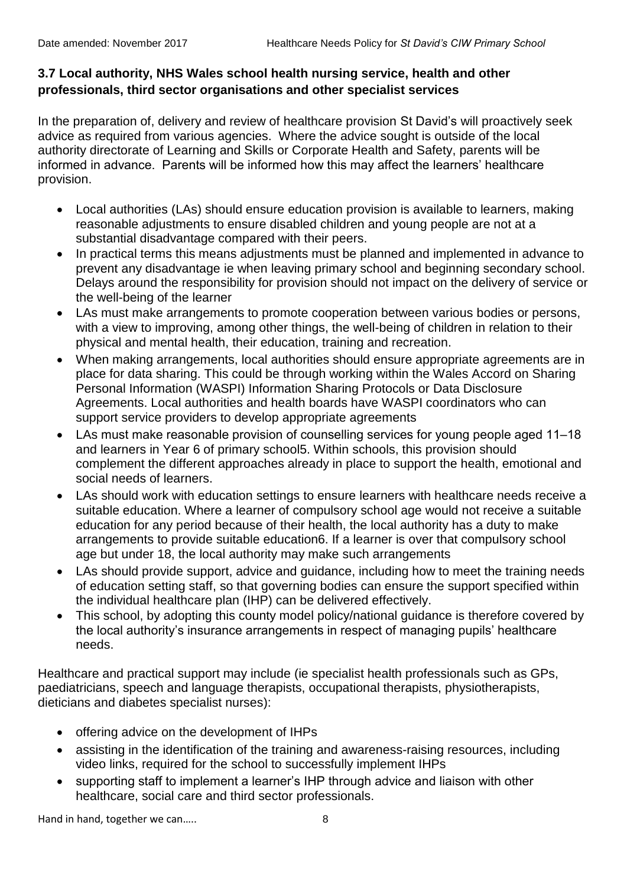# **3.7 Local authority, NHS Wales school health nursing service, health and other professionals, third sector organisations and other specialist services**

In the preparation of, delivery and review of healthcare provision St David's will proactively seek advice as required from various agencies. Where the advice sought is outside of the local authority directorate of Learning and Skills or Corporate Health and Safety, parents will be informed in advance. Parents will be informed how this may affect the learners' healthcare provision.

- Local authorities (LAs) should ensure education provision is available to learners, making reasonable adjustments to ensure disabled children and young people are not at a substantial disadvantage compared with their peers.
- In practical terms this means adjustments must be planned and implemented in advance to prevent any disadvantage ie when leaving primary school and beginning secondary school. Delays around the responsibility for provision should not impact on the delivery of service or the well-being of the learner
- LAs must make arrangements to promote cooperation between various bodies or persons, with a view to improving, among other things, the well-being of children in relation to their physical and mental health, their education, training and recreation.
- When making arrangements, local authorities should ensure appropriate agreements are in place for data sharing. This could be through working within the Wales Accord on Sharing Personal Information (WASPI) Information Sharing Protocols or Data Disclosure Agreements. Local authorities and health boards have WASPI coordinators who can support service providers to develop appropriate agreements
- LAs must make reasonable provision of counselling services for young people aged 11–18 and learners in Year 6 of primary school5. Within schools, this provision should complement the different approaches already in place to support the health, emotional and social needs of learners.
- LAs should work with education settings to ensure learners with healthcare needs receive a suitable education. Where a learner of compulsory school age would not receive a suitable education for any period because of their health, the local authority has a duty to make arrangements to provide suitable education6. If a learner is over that compulsory school age but under 18, the local authority may make such arrangements
- LAs should provide support, advice and guidance, including how to meet the training needs of education setting staff, so that governing bodies can ensure the support specified within the individual healthcare plan (IHP) can be delivered effectively.
- This school, by adopting this county model policy/national guidance is therefore covered by the local authority's insurance arrangements in respect of managing pupils' healthcare needs.

Healthcare and practical support may include (ie specialist health professionals such as GPs, paediatricians, speech and language therapists, occupational therapists, physiotherapists, dieticians and diabetes specialist nurses):

- offering advice on the development of IHPs
- assisting in the identification of the training and awareness-raising resources, including video links, required for the school to successfully implement IHPs
- supporting staff to implement a learner's IHP through advice and liaison with other healthcare, social care and third sector professionals.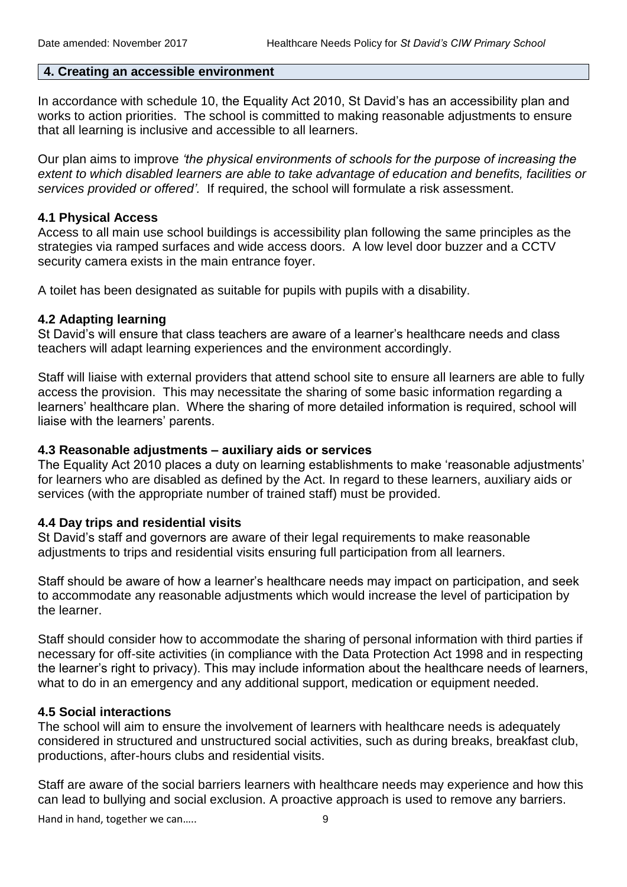#### **4. Creating an accessible environment**

In accordance with schedule 10, the Equality Act 2010, St David's has an accessibility plan and works to action priorities. The school is committed to making reasonable adjustments to ensure that all learning is inclusive and accessible to all learners.

Our plan aims to improve *'the physical environments of schools for the purpose of increasing the extent to which disabled learners are able to take advantage of education and benefits, facilities or services provided or offered'.* If required, the school will formulate a risk assessment.

### **4.1 Physical Access**

Access to all main use school buildings is accessibility plan following the same principles as the strategies via ramped surfaces and wide access doors. A low level door buzzer and a CCTV security camera exists in the main entrance foyer.

A toilet has been designated as suitable for pupils with pupils with a disability.

#### **4.2 Adapting learning**

St David's will ensure that class teachers are aware of a learner's healthcare needs and class teachers will adapt learning experiences and the environment accordingly.

Staff will liaise with external providers that attend school site to ensure all learners are able to fully access the provision. This may necessitate the sharing of some basic information regarding a learners' healthcare plan. Where the sharing of more detailed information is required, school will liaise with the learners' parents.

# **4.3 Reasonable adjustments ‒ auxiliary aids or services**

The Equality Act 2010 places a duty on learning establishments to make 'reasonable adjustments' for learners who are disabled as defined by the Act. In regard to these learners, auxiliary aids or services (with the appropriate number of trained staff) must be provided.

# **4.4 Day trips and residential visits**

St David's staff and governors are aware of their legal requirements to make reasonable adjustments to trips and residential visits ensuring full participation from all learners.

Staff should be aware of how a learner's healthcare needs may impact on participation, and seek to accommodate any reasonable adjustments which would increase the level of participation by the learner.

Staff should consider how to accommodate the sharing of personal information with third parties if necessary for off-site activities (in compliance with the Data Protection Act 1998 and in respecting the learner's right to privacy). This may include information about the healthcare needs of learners, what to do in an emergency and any additional support, medication or equipment needed.

# **4.5 Social interactions**

The school will aim to ensure the involvement of learners with healthcare needs is adequately considered in structured and unstructured social activities, such as during breaks, breakfast club, productions, after-hours clubs and residential visits.

Staff are aware of the social barriers learners with healthcare needs may experience and how this can lead to bullying and social exclusion. A proactive approach is used to remove any barriers.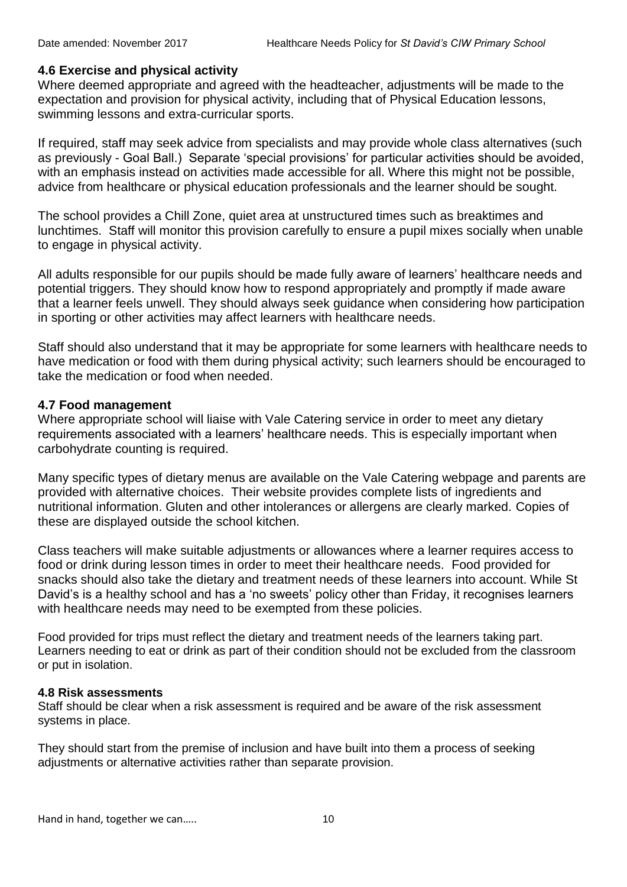#### **4.6 Exercise and physical activity**

Where deemed appropriate and agreed with the headteacher, adjustments will be made to the expectation and provision for physical activity, including that of Physical Education lessons, swimming lessons and extra-curricular sports.

If required, staff may seek advice from specialists and may provide whole class alternatives (such as previously - Goal Ball.) Separate 'special provisions' for particular activities should be avoided, with an emphasis instead on activities made accessible for all. Where this might not be possible, advice from healthcare or physical education professionals and the learner should be sought.

The school provides a Chill Zone, quiet area at unstructured times such as breaktimes and lunchtimes. Staff will monitor this provision carefully to ensure a pupil mixes socially when unable to engage in physical activity.

All adults responsible for our pupils should be made fully aware of learners' healthcare needs and potential triggers. They should know how to respond appropriately and promptly if made aware that a learner feels unwell. They should always seek guidance when considering how participation in sporting or other activities may affect learners with healthcare needs.

Staff should also understand that it may be appropriate for some learners with healthcare needs to have medication or food with them during physical activity; such learners should be encouraged to take the medication or food when needed.

#### **4.7 Food management**

Where appropriate school will liaise with Vale Catering service in order to meet any dietary requirements associated with a learners' healthcare needs. This is especially important when carbohydrate counting is required.

Many specific types of dietary menus are available on the Vale Catering webpage and parents are provided with alternative choices. Their website provides complete lists of ingredients and nutritional information. Gluten and other intolerances or allergens are clearly marked. Copies of these are displayed outside the school kitchen.

Class teachers will make suitable adjustments or allowances where a learner requires access to food or drink during lesson times in order to meet their healthcare needs. Food provided for snacks should also take the dietary and treatment needs of these learners into account. While St David's is a healthy school and has a 'no sweets' policy other than Friday, it recognises learners with healthcare needs may need to be exempted from these policies.

Food provided for trips must reflect the dietary and treatment needs of the learners taking part. Learners needing to eat or drink as part of their condition should not be excluded from the classroom or put in isolation.

#### **4.8 Risk assessments**

Staff should be clear when a risk assessment is required and be aware of the risk assessment systems in place.

They should start from the premise of inclusion and have built into them a process of seeking adjustments or alternative activities rather than separate provision.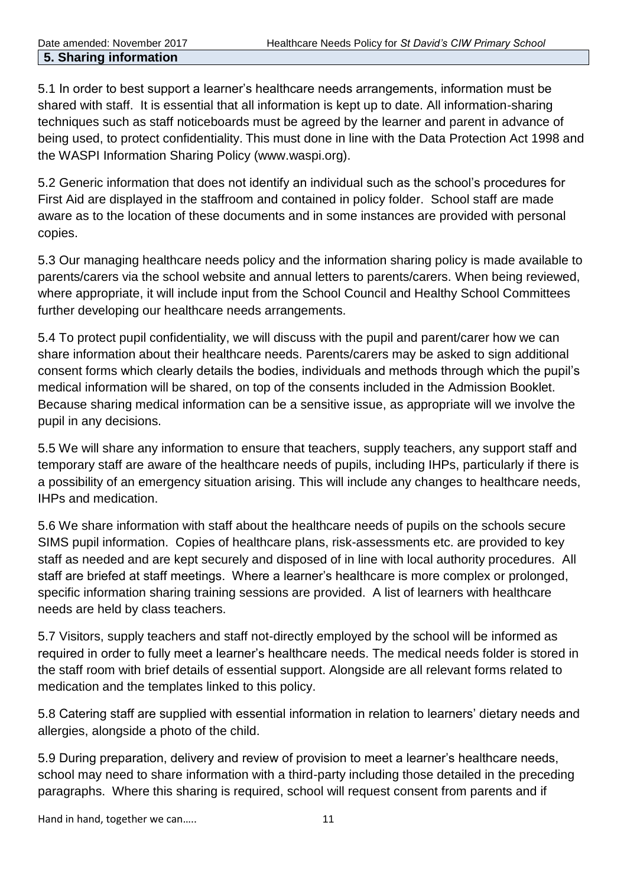#### **5. Sharing information**

5.1 In order to best support a learner's healthcare needs arrangements, information must be shared with staff. It is essential that all information is kept up to date. All information-sharing techniques such as staff noticeboards must be agreed by the learner and parent in advance of being used, to protect confidentiality. This must done in line with the Data Protection Act 1998 and the WASPI Information Sharing Policy (www.waspi.org).

5.2 Generic information that does not identify an individual such as the school's procedures for First Aid are displayed in the staffroom and contained in policy folder. School staff are made aware as to the location of these documents and in some instances are provided with personal copies.

5.3 Our managing healthcare needs policy and the information sharing policy is made available to parents/carers via the school website and annual letters to parents/carers. When being reviewed, where appropriate, it will include input from the School Council and Healthy School Committees further developing our healthcare needs arrangements.

5.4 To protect pupil confidentiality, we will discuss with the pupil and parent/carer how we can share information about their healthcare needs. Parents/carers may be asked to sign additional consent forms which clearly details the bodies, individuals and methods through which the pupil's medical information will be shared, on top of the consents included in the Admission Booklet. Because sharing medical information can be a sensitive issue, as appropriate will we involve the pupil in any decisions.

5.5 We will share any information to ensure that teachers, supply teachers, any support staff and temporary staff are aware of the healthcare needs of pupils, including IHPs, particularly if there is a possibility of an emergency situation arising. This will include any changes to healthcare needs, IHPs and medication.

5.6 We share information with staff about the healthcare needs of pupils on the schools secure SIMS pupil information. Copies of healthcare plans, risk-assessments etc. are provided to key staff as needed and are kept securely and disposed of in line with local authority procedures. All staff are briefed at staff meetings. Where a learner's healthcare is more complex or prolonged, specific information sharing training sessions are provided. A list of learners with healthcare needs are held by class teachers.

5.7 Visitors, supply teachers and staff not-directly employed by the school will be informed as required in order to fully meet a learner's healthcare needs. The medical needs folder is stored in the staff room with brief details of essential support. Alongside are all relevant forms related to medication and the templates linked to this policy.

5.8 Catering staff are supplied with essential information in relation to learners' dietary needs and allergies, alongside a photo of the child.

5.9 During preparation, delivery and review of provision to meet a learner's healthcare needs, school may need to share information with a third-party including those detailed in the preceding paragraphs. Where this sharing is required, school will request consent from parents and if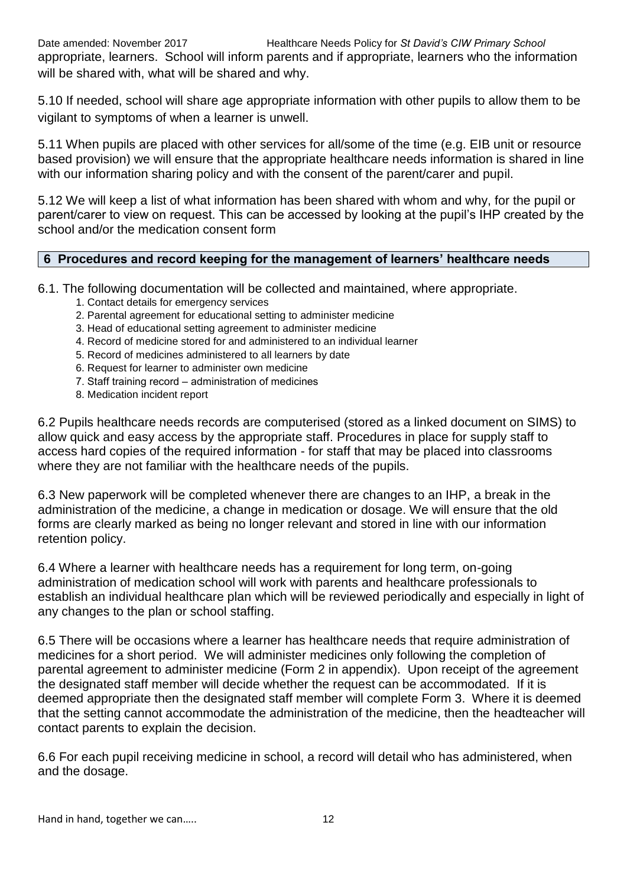appropriate, learners. School will inform parents and if appropriate, learners who the information will be shared with, what will be shared and why.

5.10 If needed, school will share age appropriate information with other pupils to allow them to be vigilant to symptoms of when a learner is unwell.

5.11 When pupils are placed with other services for all/some of the time (e.g. EIB unit or resource based provision) we will ensure that the appropriate healthcare needs information is shared in line with our information sharing policy and with the consent of the parent/carer and pupil.

5.12 We will keep a list of what information has been shared with whom and why, for the pupil or parent/carer to view on request. This can be accessed by looking at the pupil's IHP created by the school and/or the medication consent form

# **6 Procedures and record keeping for the management of learners' healthcare needs**

6.1. The following documentation will be collected and maintained, where appropriate.

- 1. Contact details for emergency services
- 2. Parental agreement for educational setting to administer medicine
- 3. Head of educational setting agreement to administer medicine
- 4. Record of medicine stored for and administered to an individual learner
- 5. Record of medicines administered to all learners by date
- 6. Request for learner to administer own medicine
- 7. Staff training record administration of medicines
- 8. Medication incident report

6.2 Pupils healthcare needs records are computerised (stored as a linked document on SIMS) to allow quick and easy access by the appropriate staff. Procedures in place for supply staff to access hard copies of the required information - for staff that may be placed into classrooms where they are not familiar with the healthcare needs of the pupils.

6.3 New paperwork will be completed whenever there are changes to an IHP, a break in the administration of the medicine, a change in medication or dosage. We will ensure that the old forms are clearly marked as being no longer relevant and stored in line with our information retention policy.

6.4 Where a learner with healthcare needs has a requirement for long term, on-going administration of medication school will work with parents and healthcare professionals to establish an individual healthcare plan which will be reviewed periodically and especially in light of any changes to the plan or school staffing.

6.5 There will be occasions where a learner has healthcare needs that require administration of medicines for a short period. We will administer medicines only following the completion of parental agreement to administer medicine (Form 2 in appendix). Upon receipt of the agreement the designated staff member will decide whether the request can be accommodated. If it is deemed appropriate then the designated staff member will complete Form 3. Where it is deemed that the setting cannot accommodate the administration of the medicine, then the headteacher will contact parents to explain the decision.

6.6 For each pupil receiving medicine in school, a record will detail who has administered, when and the dosage.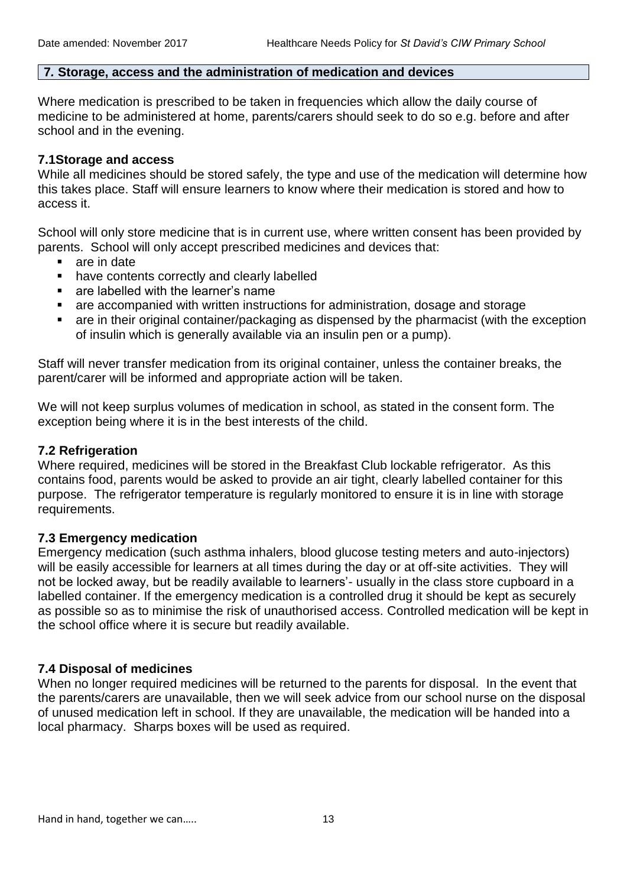#### **7***.* **Storage, access and the administration of medication and devices**

Where medication is prescribed to be taken in frequencies which allow the daily course of medicine to be administered at home, parents/carers should seek to do so e.g. before and after school and in the evening.

# **7.1Storage and access**

While all medicines should be stored safely, the type and use of the medication will determine how this takes place. Staff will ensure learners to know where their medication is stored and how to access it.

School will only store medicine that is in current use, where written consent has been provided by parents. School will only accept prescribed medicines and devices that:

- are in date
- have contents correctly and clearly labelled
- **EXEC** are labelled with the learner's name
- are accompanied with written instructions for administration, dosage and storage
- are in their original container/packaging as dispensed by the pharmacist (with the exception of insulin which is generally available via an insulin pen or a pump).

Staff will never transfer medication from its original container, unless the container breaks, the parent/carer will be informed and appropriate action will be taken.

We will not keep surplus volumes of medication in school, as stated in the consent form. The exception being where it is in the best interests of the child.

# **7.2 Refrigeration**

Where required, medicines will be stored in the Breakfast Club lockable refrigerator. As this contains food, parents would be asked to provide an air tight, clearly labelled container for this purpose. The refrigerator temperature is regularly monitored to ensure it is in line with storage requirements.

# **7.3 Emergency medication**

Emergency medication (such asthma inhalers, blood glucose testing meters and auto-injectors) will be easily accessible for learners at all times during the day or at off-site activities. They will not be locked away, but be readily available to learners'- usually in the class store cupboard in a labelled container. If the emergency medication is a controlled drug it should be kept as securely as possible so as to minimise the risk of unauthorised access. Controlled medication will be kept in the school office where it is secure but readily available.

# **7.4 Disposal of medicines**

When no longer required medicines will be returned to the parents for disposal. In the event that the parents/carers are unavailable, then we will seek advice from our school nurse on the disposal of unused medication left in school. If they are unavailable, the medication will be handed into a local pharmacy. Sharps boxes will be used as required.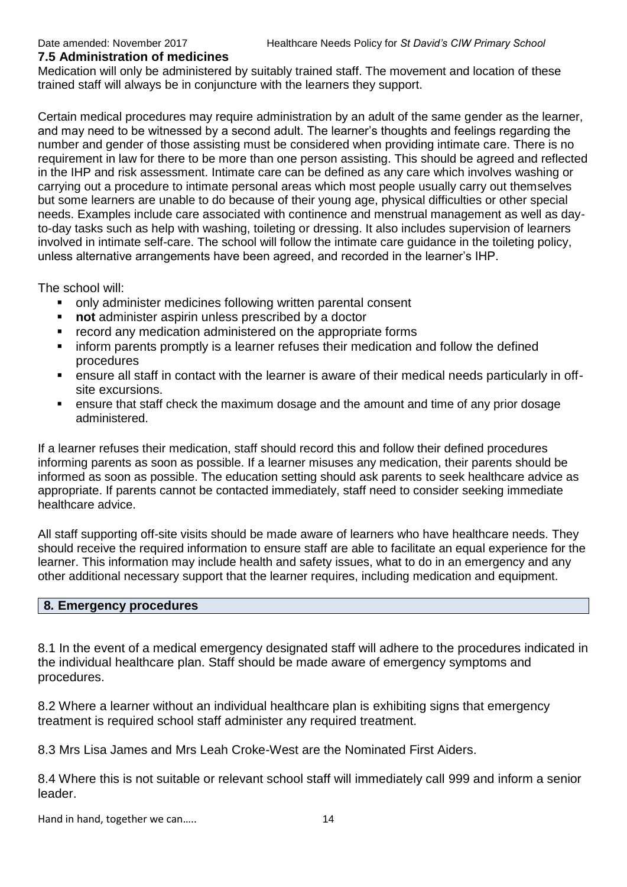#### **7.5 Administration of medicines**

Medication will only be administered by suitably trained staff. The movement and location of these trained staff will always be in conjuncture with the learners they support.

Certain medical procedures may require administration by an adult of the same gender as the learner, and may need to be witnessed by a second adult. The learner's thoughts and feelings regarding the number and gender of those assisting must be considered when providing intimate care. There is no requirement in law for there to be more than one person assisting. This should be agreed and reflected in the IHP and risk assessment. Intimate care can be defined as any care which involves washing or carrying out a procedure to intimate personal areas which most people usually carry out themselves but some learners are unable to do because of their young age, physical difficulties or other special needs. Examples include care associated with continence and menstrual management as well as dayto-day tasks such as help with washing, toileting or dressing. It also includes supervision of learners involved in intimate self-care. The school will follow the intimate care guidance in the toileting policy, unless alternative arrangements have been agreed, and recorded in the learner's IHP.

The school will:

- only administer medicines following written parental consent
- **not** administer aspirin unless prescribed by a doctor
- **•** record any medication administered on the appropriate forms
- inform parents promptly is a learner refuses their medication and follow the defined procedures
- ensure all staff in contact with the learner is aware of their medical needs particularly in offsite excursions.
- ensure that staff check the maximum dosage and the amount and time of any prior dosage administered.

If a learner refuses their medication, staff should record this and follow their defined procedures informing parents as soon as possible. If a learner misuses any medication, their parents should be informed as soon as possible. The education setting should ask parents to seek healthcare advice as appropriate. If parents cannot be contacted immediately, staff need to consider seeking immediate healthcare advice.

All staff supporting off-site visits should be made aware of learners who have healthcare needs. They should receive the required information to ensure staff are able to facilitate an equal experience for the learner. This information may include health and safety issues, what to do in an emergency and any other additional necessary support that the learner requires, including medication and equipment.

# **8***.* **Emergency procedures**

8.1 In the event of a medical emergency designated staff will adhere to the procedures indicated in the individual healthcare plan. Staff should be made aware of emergency symptoms and procedures.

8.2 Where a learner without an individual healthcare plan is exhibiting signs that emergency treatment is required school staff administer any required treatment.

8.3 Mrs Lisa James and Mrs Leah Croke-West are the Nominated First Aiders.

8.4 Where this is not suitable or relevant school staff will immediately call 999 and inform a senior leader.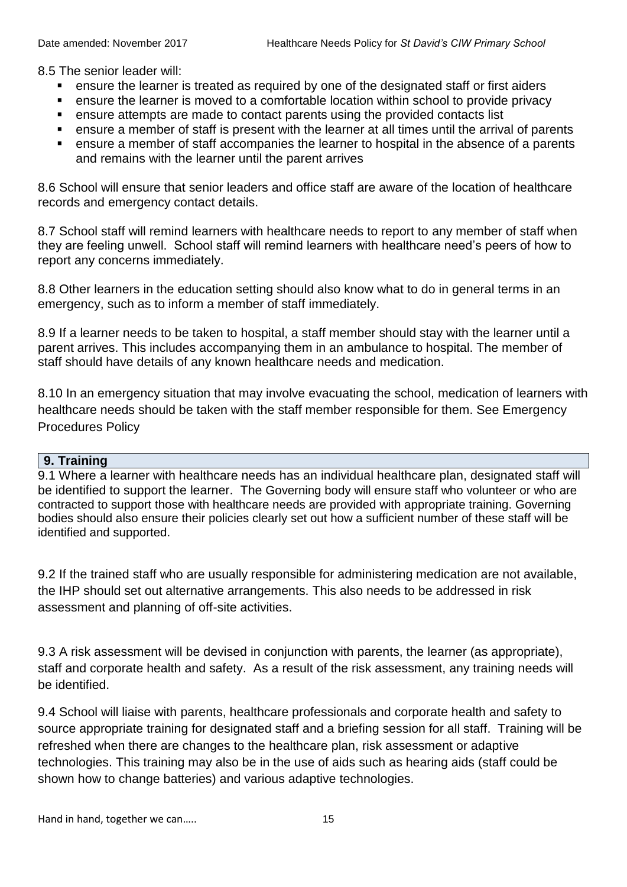8.5 The senior leader will:

- ensure the learner is treated as required by one of the designated staff or first aiders
- ensure the learner is moved to a comfortable location within school to provide privacy
- ensure attempts are made to contact parents using the provided contacts list
- ensure a member of staff is present with the learner at all times until the arrival of parents
- ensure a member of staff accompanies the learner to hospital in the absence of a parents and remains with the learner until the parent arrives

8.6 School will ensure that senior leaders and office staff are aware of the location of healthcare records and emergency contact details.

8.7 School staff will remind learners with healthcare needs to report to any member of staff when they are feeling unwell. School staff will remind learners with healthcare need's peers of how to report any concerns immediately.

8.8 Other learners in the education setting should also know what to do in general terms in an emergency, such as to inform a member of staff immediately.

8.9 If a learner needs to be taken to hospital, a staff member should stay with the learner until a parent arrives. This includes accompanying them in an ambulance to hospital. The member of staff should have details of any known healthcare needs and medication.

8.10 In an emergency situation that may involve evacuating the school, medication of learners with healthcare needs should be taken with the staff member responsible for them. See Emergency Procedures Policy

# **9. Training**

9.1 Where a learner with healthcare needs has an individual healthcare plan, designated staff will be identified to support the learner. The Governing body will ensure staff who volunteer or who are contracted to support those with healthcare needs are provided with appropriate training. Governing bodies should also ensure their policies clearly set out how a sufficient number of these staff will be identified and supported.

9.2 If the trained staff who are usually responsible for administering medication are not available, the IHP should set out alternative arrangements. This also needs to be addressed in risk assessment and planning of off-site activities.

9.3 A risk assessment will be devised in conjunction with parents, the learner (as appropriate), staff and corporate health and safety. As a result of the risk assessment, any training needs will be identified.

9.4 School will liaise with parents, healthcare professionals and corporate health and safety to source appropriate training for designated staff and a briefing session for all staff. Training will be refreshed when there are changes to the healthcare plan, risk assessment or adaptive technologies. This training may also be in the use of aids such as hearing aids (staff could be shown how to change batteries) and various adaptive technologies.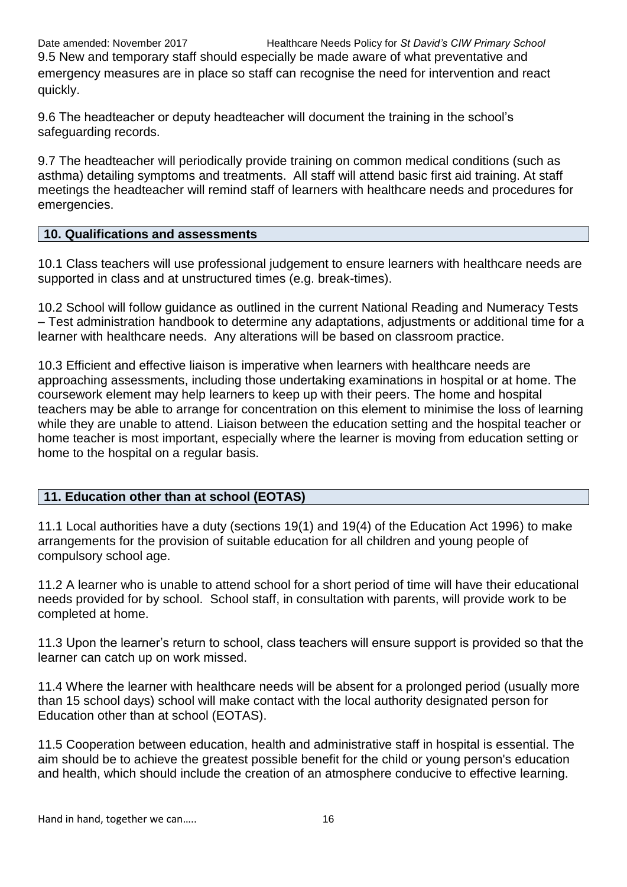9.5 New and temporary staff should especially be made aware of what preventative and emergency measures are in place so staff can recognise the need for intervention and react quickly.

9.6 The headteacher or deputy headteacher will document the training in the school's safeguarding records.

9.7 The headteacher will periodically provide training on common medical conditions (such as asthma) detailing symptoms and treatments. All staff will attend basic first aid training. At staff meetings the headteacher will remind staff of learners with healthcare needs and procedures for emergencies.

# **10. Qualifications and assessments**

10.1 Class teachers will use professional judgement to ensure learners with healthcare needs are supported in class and at unstructured times (e.g. break-times).

10.2 School will follow guidance as outlined in the current National Reading and Numeracy Tests – Test administration handbook to determine any adaptations, adjustments or additional time for a learner with healthcare needs. Any alterations will be based on classroom practice.

10.3 Efficient and effective liaison is imperative when learners with healthcare needs are approaching assessments, including those undertaking examinations in hospital or at home. The coursework element may help learners to keep up with their peers. The home and hospital teachers may be able to arrange for concentration on this element to minimise the loss of learning while they are unable to attend. Liaison between the education setting and the hospital teacher or home teacher is most important, especially where the learner is moving from education setting or home to the hospital on a regular basis.

# **11. Education other than at school (EOTAS)**

11.1 Local authorities have a duty (sections 19(1) and 19(4) of the Education Act 1996) to make arrangements for the provision of suitable education for all children and young people of compulsory school age.

11.2 A learner who is unable to attend school for a short period of time will have their educational needs provided for by school. School staff, in consultation with parents, will provide work to be completed at home.

11.3 Upon the learner's return to school, class teachers will ensure support is provided so that the learner can catch up on work missed.

11.4 Where the learner with healthcare needs will be absent for a prolonged period (usually more than 15 school days) school will make contact with the local authority designated person for Education other than at school (EOTAS).

11.5 Cooperation between education, health and administrative staff in hospital is essential. The aim should be to achieve the greatest possible benefit for the child or young person's education and health, which should include the creation of an atmosphere conducive to effective learning.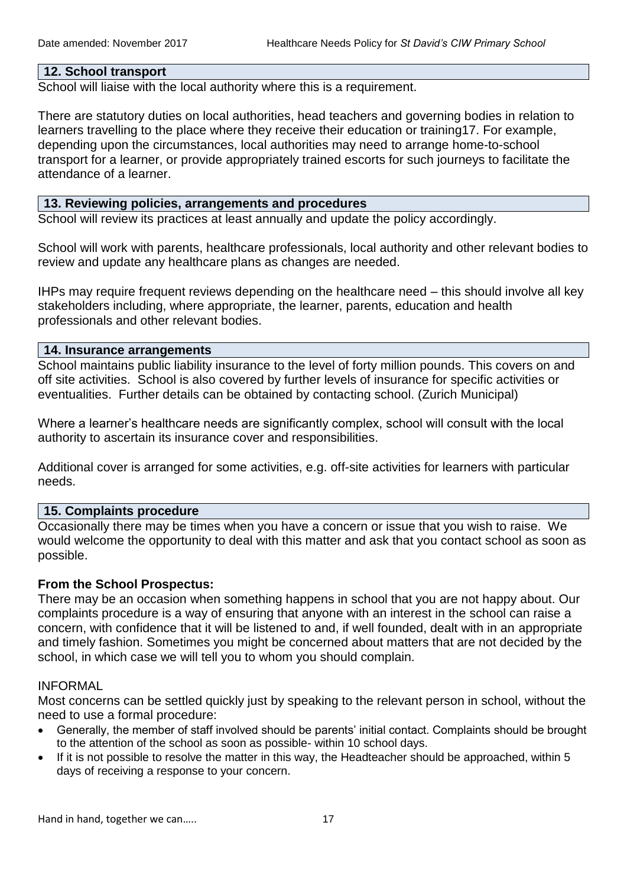#### **12. School transport**

School will liaise with the local authority where this is a requirement.

There are statutory duties on local authorities, head teachers and governing bodies in relation to learners travelling to the place where they receive their education or training17. For example, depending upon the circumstances, local authorities may need to arrange home-to-school transport for a learner, or provide appropriately trained escorts for such journeys to facilitate the attendance of a learner.

#### **13. Reviewing policies, arrangements and procedures**

School will review its practices at least annually and update the policy accordingly.

School will work with parents, healthcare professionals, local authority and other relevant bodies to review and update any healthcare plans as changes are needed.

IHPs may require frequent reviews depending on the healthcare need – this should involve all key stakeholders including, where appropriate, the learner, parents, education and health professionals and other relevant bodies.

#### **14. Insurance arrangements**

School maintains public liability insurance to the level of forty million pounds. This covers on and off site activities. School is also covered by further levels of insurance for specific activities or eventualities. Further details can be obtained by contacting school. (Zurich Municipal)

Where a learner's healthcare needs are significantly complex, school will consult with the local authority to ascertain its insurance cover and responsibilities.

Additional cover is arranged for some activities, e.g. off-site activities for learners with particular needs.

#### **15. Complaints procedure**

Occasionally there may be times when you have a concern or issue that you wish to raise. We would welcome the opportunity to deal with this matter and ask that you contact school as soon as possible.

# **From the School Prospectus:**

There may be an occasion when something happens in school that you are not happy about. Our complaints procedure is a way of ensuring that anyone with an interest in the school can raise a concern, with confidence that it will be listened to and, if well founded, dealt with in an appropriate and timely fashion. Sometimes you might be concerned about matters that are not decided by the school, in which case we will tell you to whom you should complain.

#### INFORMAL

Most concerns can be settled quickly just by speaking to the relevant person in school, without the need to use a formal procedure:

- Generally, the member of staff involved should be parents' initial contact. Complaints should be brought to the attention of the school as soon as possible- within 10 school days.
- If it is not possible to resolve the matter in this way, the Headteacher should be approached, within 5 days of receiving a response to your concern.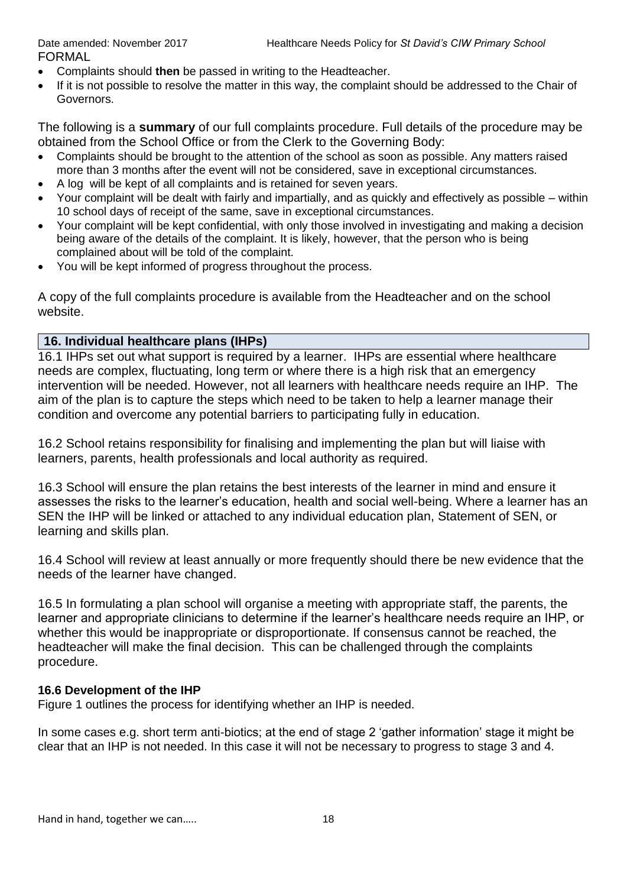- Complaints should **then** be passed in writing to the Headteacher.
- If it is not possible to resolve the matter in this way, the complaint should be addressed to the Chair of Governors.

The following is a **summary** of our full complaints procedure. Full details of the procedure may be obtained from the School Office or from the Clerk to the Governing Body:

- Complaints should be brought to the attention of the school as soon as possible. Any matters raised more than 3 months after the event will not be considered, save in exceptional circumstances.
- A log will be kept of all complaints and is retained for seven years.
- Your complaint will be dealt with fairly and impartially, and as quickly and effectively as possible within 10 school days of receipt of the same, save in exceptional circumstances.
- Your complaint will be kept confidential, with only those involved in investigating and making a decision being aware of the details of the complaint. It is likely, however, that the person who is being complained about will be told of the complaint.
- You will be kept informed of progress throughout the process.

A copy of the full complaints procedure is available from the Headteacher and on the school website.

# **16. Individual healthcare plans (IHPs)**

16.1 IHPs set out what support is required by a learner. IHPs are essential where healthcare needs are complex, fluctuating, long term or where there is a high risk that an emergency intervention will be needed. However, not all learners with healthcare needs require an IHP. The aim of the plan is to capture the steps which need to be taken to help a learner manage their condition and overcome any potential barriers to participating fully in education.

16.2 School retains responsibility for finalising and implementing the plan but will liaise with learners, parents, health professionals and local authority as required.

16.3 School will ensure the plan retains the best interests of the learner in mind and ensure it assesses the risks to the learner's education, health and social well-being. Where a learner has an SEN the IHP will be linked or attached to any individual education plan, Statement of SEN, or learning and skills plan.

16.4 School will review at least annually or more frequently should there be new evidence that the needs of the learner have changed.

16.5 In formulating a plan school will organise a meeting with appropriate staff, the parents, the learner and appropriate clinicians to determine if the learner's healthcare needs require an IHP, or whether this would be inappropriate or disproportionate. If consensus cannot be reached, the headteacher will make the final decision. This can be challenged through the complaints procedure.

# **16.6 Development of the IHP**

Figure 1 outlines the process for identifying whether an IHP is needed.

In some cases e.g. short term anti-biotics; at the end of stage 2 'gather information' stage it might be clear that an IHP is not needed. In this case it will not be necessary to progress to stage 3 and 4.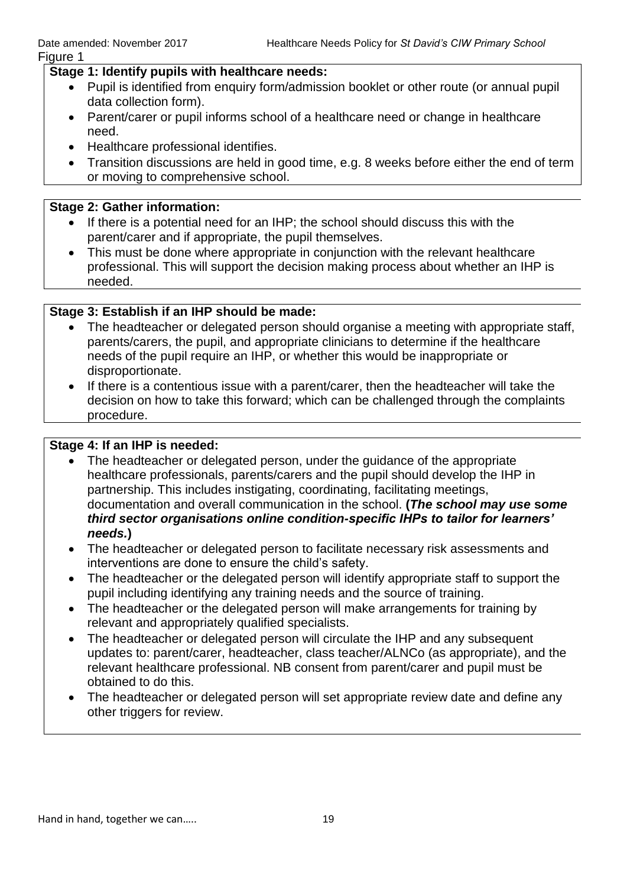# **Stage 1: Identify pupils with healthcare needs:**

- Pupil is identified from enquiry form/admission booklet or other route (or annual pupil data collection form).
- Parent/carer or pupil informs school of a healthcare need or change in healthcare need.
- Healthcare professional identifies.
- Transition discussions are held in good time, e.g. 8 weeks before either the end of term or moving to comprehensive school.

#### **Stage 2: Gather information:**

- If there is a potential need for an IHP; the school should discuss this with the parent/carer and if appropriate, the pupil themselves.
- This must be done where appropriate in conjunction with the relevant healthcare professional. This will support the decision making process about whether an IHP is needed.

# **Stage 3: Establish if an IHP should be made:**

- The headteacher or delegated person should organise a meeting with appropriate staff, parents/carers, the pupil, and appropriate clinicians to determine if the healthcare needs of the pupil require an IHP, or whether this would be inappropriate or disproportionate.
- If there is a contentious issue with a parent/carer, then the headteacher will take the decision on how to take this forward; which can be challenged through the complaints procedure.

#### **Stage 4: If an IHP is needed:**

- The headteacher or delegated person, under the guidance of the appropriate healthcare professionals, parents/carers and the pupil should develop the IHP in partnership. This includes instigating, coordinating, facilitating meetings, documentation and overall communication in the school. **(***The school may use* **s***ome third sector organisations online condition-specific IHPs to tailor for learners' needs.***)**
- The headteacher or delegated person to facilitate necessary risk assessments and interventions are done to ensure the child's safety.
- The headteacher or the delegated person will identify appropriate staff to support the pupil including identifying any training needs and the source of training.
- The headteacher or the delegated person will make arrangements for training by relevant and appropriately qualified specialists.
- The headteacher or delegated person will circulate the IHP and any subsequent updates to: parent/carer, headteacher, class teacher/ALNCo (as appropriate), and the relevant healthcare professional. NB consent from parent/carer and pupil must be obtained to do this.
- The headteacher or delegated person will set appropriate review date and define any other triggers for review.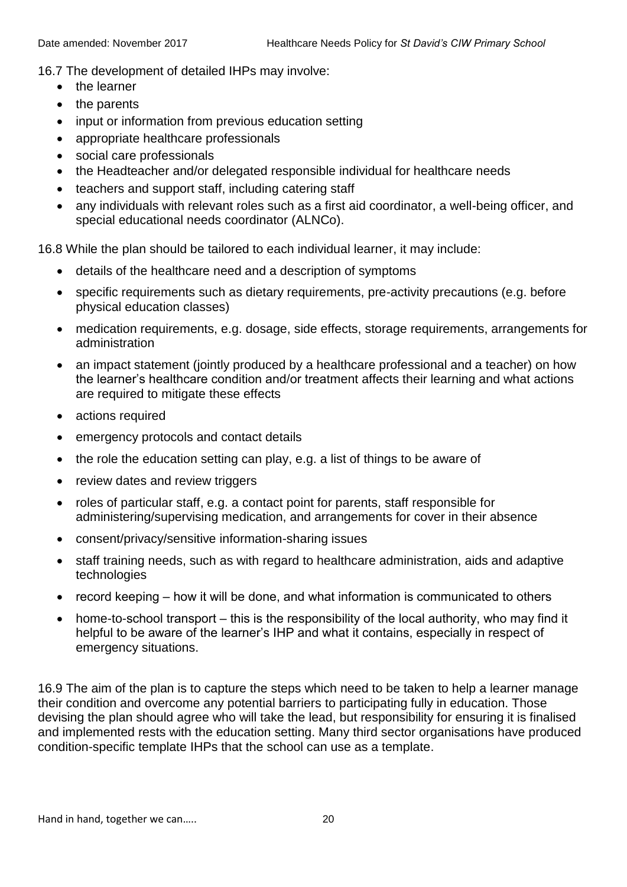16.7 The development of detailed IHPs may involve:

- the learner
- the parents
- input or information from previous education setting
- appropriate healthcare professionals
- social care professionals
- the Headteacher and/or delegated responsible individual for healthcare needs
- teachers and support staff, including catering staff
- any individuals with relevant roles such as a first aid coordinator, a well-being officer, and special educational needs coordinator (ALNCo).

16.8 While the plan should be tailored to each individual learner, it may include:

- details of the healthcare need and a description of symptoms
- specific requirements such as dietary requirements, pre-activity precautions (e.g. before physical education classes)
- medication requirements, e.g. dosage, side effects, storage requirements, arrangements for administration
- an impact statement (jointly produced by a healthcare professional and a teacher) on how the learner's healthcare condition and/or treatment affects their learning and what actions are required to mitigate these effects
- actions required
- emergency protocols and contact details
- the role the education setting can play, e.g. a list of things to be aware of
- review dates and review triggers
- roles of particular staff, e.g. a contact point for parents, staff responsible for administering/supervising medication, and arrangements for cover in their absence
- consent/privacy/sensitive information-sharing issues
- staff training needs, such as with regard to healthcare administration, aids and adaptive technologies
- $\bullet$  record keeping  $-$  how it will be done, and what information is communicated to others
- home-to-school transport this is the responsibility of the local authority, who may find it helpful to be aware of the learner's IHP and what it contains, especially in respect of emergency situations.

16.9 The aim of the plan is to capture the steps which need to be taken to help a learner manage their condition and overcome any potential barriers to participating fully in education. Those devising the plan should agree who will take the lead, but responsibility for ensuring it is finalised and implemented rests with the education setting. Many third sector organisations have produced condition-specific template IHPs that the school can use as a template.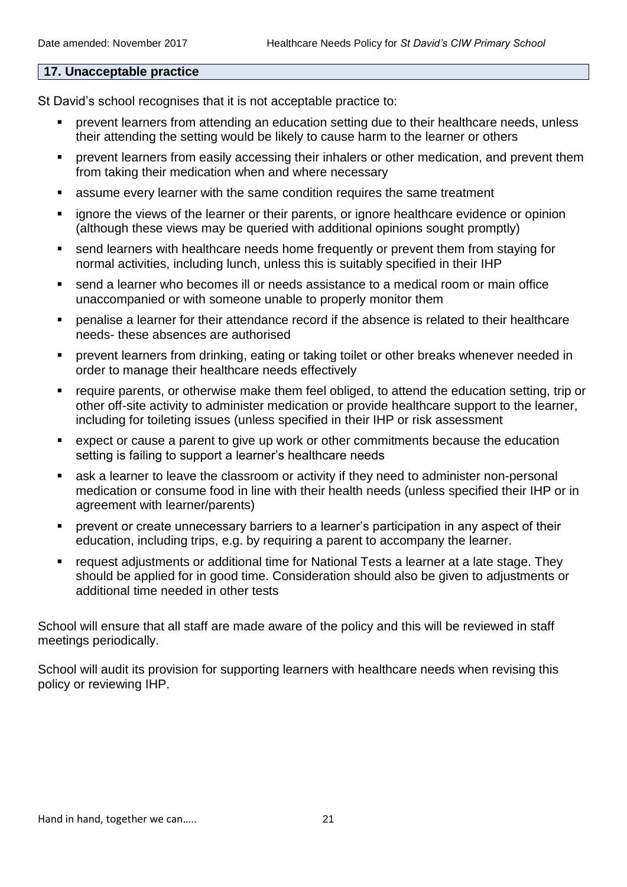#### **17. Unacceptable practice**

St David's school recognises that it is not acceptable practice to:

- prevent learners from attending an education setting due to their healthcare needs, unless their attending the setting would be likely to cause harm to the learner or others
- prevent learners from easily accessing their inhalers or other medication, and prevent them from taking their medication when and where necessary
- assume every learner with the same condition requires the same treatment
- ignore the views of the learner or their parents, or ignore healthcare evidence or opinion (although these views may be queried with additional opinions sought promptly)
- send learners with healthcare needs home frequently or prevent them from staying for normal activities, including lunch, unless this is suitably specified in their IHP
- send a learner who becomes ill or needs assistance to a medical room or main office unaccompanied or with someone unable to properly monitor them
- penalise a learner for their attendance record if the absence is related to their healthcare needs- these absences are authorised
- prevent learners from drinking, eating or taking toilet or other breaks whenever needed in order to manage their healthcare needs effectively
- require parents, or otherwise make them feel obliged, to attend the education setting, trip or other off-site activity to administer medication or provide healthcare support to the learner, including for toileting issues (unless specified in their IHP or risk assessment
- expect or cause a parent to give up work or other commitments because the education setting is failing to support a learner's healthcare needs
- ask a learner to leave the classroom or activity if they need to administer non-personal medication or consume food in line with their health needs (unless specified their IHP or in agreement with learner/parents)
- prevent or create unnecessary barriers to a learner's participation in any aspect of their education, including trips, e.g. by requiring a parent to accompany the learner.
- request adjustments or additional time for National Tests a learner at a late stage. They should be applied for in good time. Consideration should also be given to adjustments or additional time needed in other tests

School will ensure that all staff are made aware of the policy and this will be reviewed in staff meetings periodically.

School will audit its provision for supporting learners with healthcare needs when revising this policy or reviewing IHP.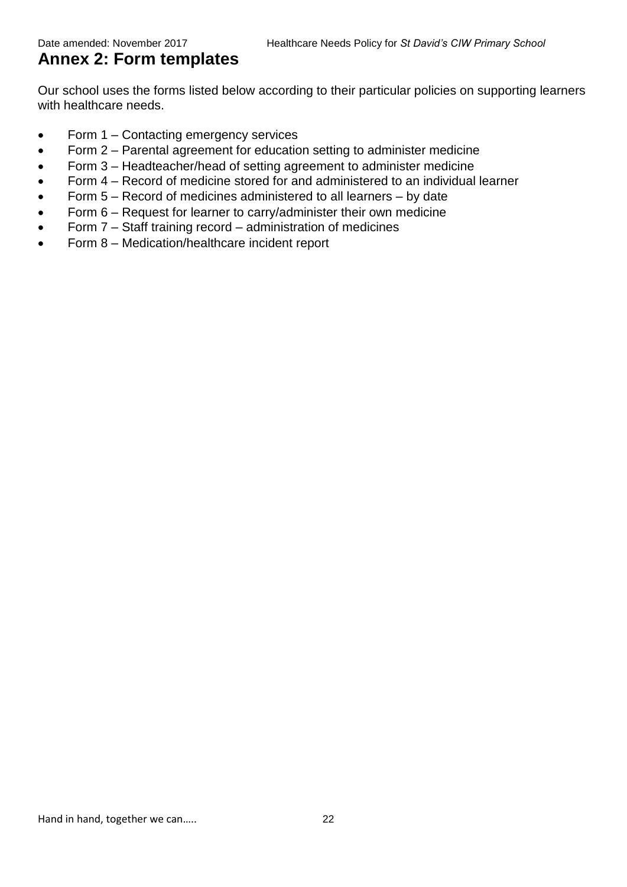# **Annex 2: Form templates**

Our school uses the forms listed below according to their particular policies on supporting learners with healthcare needs.

- Form 1 Contacting emergency services
- Form 2 Parental agreement for education setting to administer medicine
- Form 3 Headteacher/head of setting agreement to administer medicine
- Form 4 Record of medicine stored for and administered to an individual learner
- Form  $5 -$  Record of medicines administered to all learners  $-$  by date
- Form 6 Request for learner to carry/administer their own medicine
- Form 7 Staff training record administration of medicines
- Form 8 Medication/healthcare incident report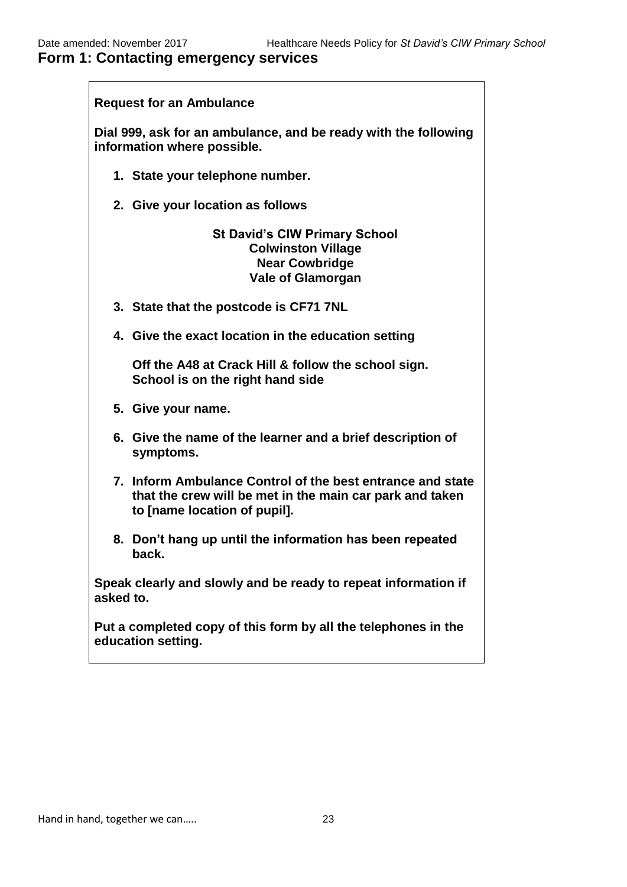# **Form 1: Contacting emergency services**

| <b>Request for an Ambulance</b>                                                                                                                        |
|--------------------------------------------------------------------------------------------------------------------------------------------------------|
| Dial 999, ask for an ambulance, and be ready with the following<br>information where possible.                                                         |
| 1. State your telephone number.                                                                                                                        |
| 2. Give your location as follows                                                                                                                       |
| <b>St David's CIW Primary School</b><br><b>Colwinston Village</b><br><b>Near Cowbridge</b><br><b>Vale of Glamorgan</b>                                 |
| 3. State that the postcode is CF71 7NL                                                                                                                 |
| 4. Give the exact location in the education setting                                                                                                    |
| Off the A48 at Crack Hill & follow the school sign.<br>School is on the right hand side                                                                |
| 5. Give your name.                                                                                                                                     |
| 6. Give the name of the learner and a brief description of<br>symptoms.                                                                                |
| 7. Inform Ambulance Control of the best entrance and state<br>that the crew will be met in the main car park and taken<br>to [name location of pupil]. |
| 8. Don't hang up until the information has been repeated<br>back.                                                                                      |
| Speak clearly and slowly and be ready to repeat information if<br>asked to.                                                                            |
| Put a completed copy of this form by all the telephones in the<br>education setting.                                                                   |
|                                                                                                                                                        |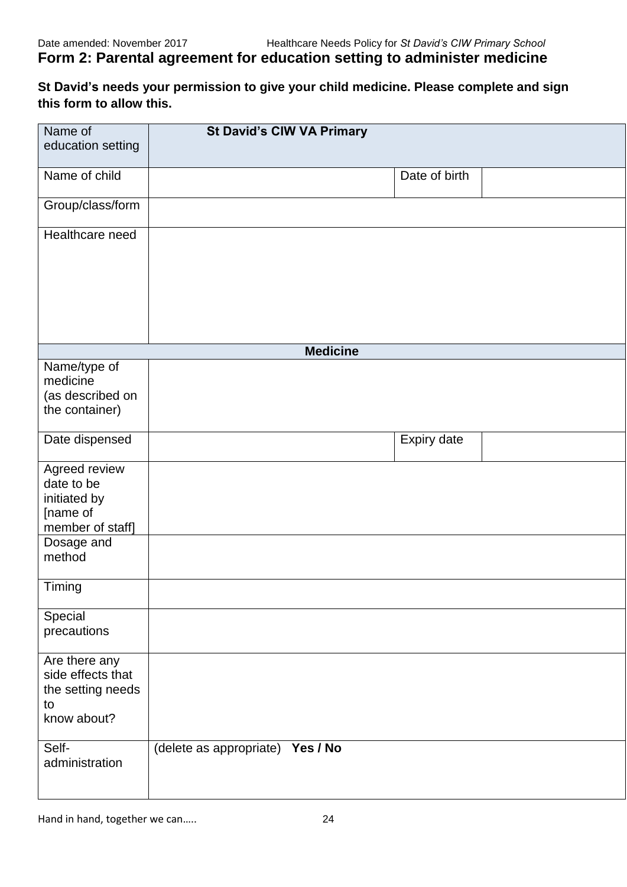# **Form 2: Parental agreement for education setting to administer medicine**

**St David's needs your permission to give your child medicine. Please complete and sign this form to allow this.** 

| Name of           |                                  | <b>St David's CIW VA Primary</b> |               |  |
|-------------------|----------------------------------|----------------------------------|---------------|--|
|                   |                                  |                                  |               |  |
| education setting |                                  |                                  |               |  |
|                   |                                  |                                  |               |  |
| Name of child     |                                  |                                  | Date of birth |  |
|                   |                                  |                                  |               |  |
|                   |                                  |                                  |               |  |
| Group/class/form  |                                  |                                  |               |  |
|                   |                                  |                                  |               |  |
| Healthcare need   |                                  |                                  |               |  |
|                   |                                  |                                  |               |  |
|                   |                                  |                                  |               |  |
|                   |                                  |                                  |               |  |
|                   |                                  |                                  |               |  |
|                   |                                  |                                  |               |  |
|                   |                                  |                                  |               |  |
|                   |                                  |                                  |               |  |
|                   |                                  |                                  |               |  |
|                   |                                  |                                  |               |  |
|                   |                                  | <b>Medicine</b>                  |               |  |
| Name/type of      |                                  |                                  |               |  |
| medicine          |                                  |                                  |               |  |
| (as described on  |                                  |                                  |               |  |
|                   |                                  |                                  |               |  |
| the container)    |                                  |                                  |               |  |
|                   |                                  |                                  |               |  |
| Date dispensed    |                                  |                                  | Expiry date   |  |
|                   |                                  |                                  |               |  |
| Agreed review     |                                  |                                  |               |  |
| date to be        |                                  |                                  |               |  |
|                   |                                  |                                  |               |  |
| initiated by      |                                  |                                  |               |  |
| [name of          |                                  |                                  |               |  |
| member of staff]  |                                  |                                  |               |  |
| Dosage and        |                                  |                                  |               |  |
| method            |                                  |                                  |               |  |
|                   |                                  |                                  |               |  |
|                   |                                  |                                  |               |  |
| Timing            |                                  |                                  |               |  |
|                   |                                  |                                  |               |  |
| Special           |                                  |                                  |               |  |
|                   |                                  |                                  |               |  |
| precautions       |                                  |                                  |               |  |
|                   |                                  |                                  |               |  |
| Are there any     |                                  |                                  |               |  |
| side effects that |                                  |                                  |               |  |
|                   |                                  |                                  |               |  |
| the setting needs |                                  |                                  |               |  |
| to                |                                  |                                  |               |  |
| know about?       |                                  |                                  |               |  |
|                   |                                  |                                  |               |  |
| Self-             |                                  |                                  |               |  |
|                   | (delete as appropriate) Yes / No |                                  |               |  |
| administration    |                                  |                                  |               |  |
|                   |                                  |                                  |               |  |
|                   |                                  |                                  |               |  |
|                   |                                  |                                  |               |  |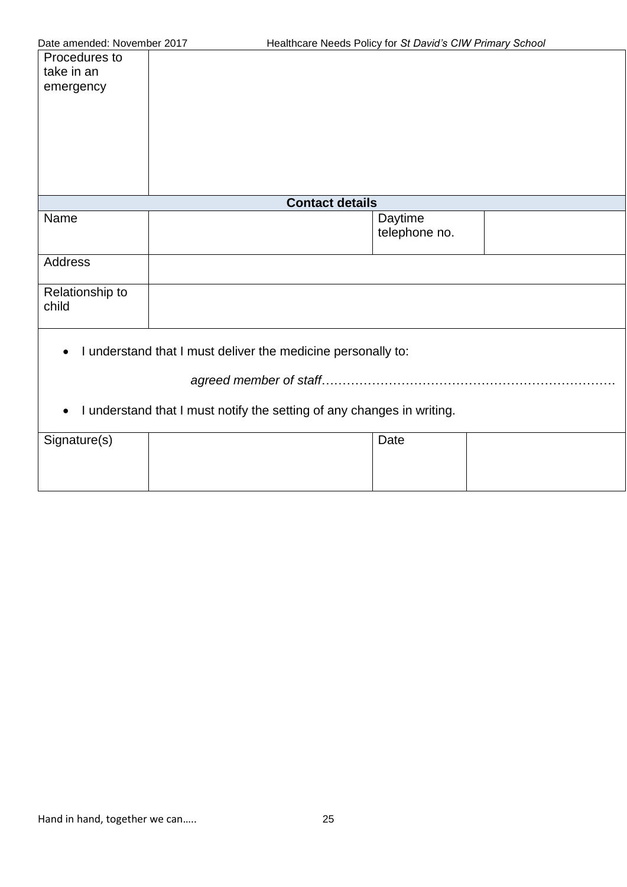| Procedures to<br>take in an<br>emergency |                                                                        |                          |  |
|------------------------------------------|------------------------------------------------------------------------|--------------------------|--|
|                                          | <b>Contact details</b>                                                 |                          |  |
| Name                                     |                                                                        | Daytime<br>telephone no. |  |
| Address                                  |                                                                        |                          |  |
| Relationship to<br>child                 |                                                                        |                          |  |
| ٠                                        | I understand that I must deliver the medicine personally to:           |                          |  |
|                                          |                                                                        |                          |  |
| $\bullet$                                | I understand that I must notify the setting of any changes in writing. |                          |  |
| Signature(s)                             |                                                                        | Date                     |  |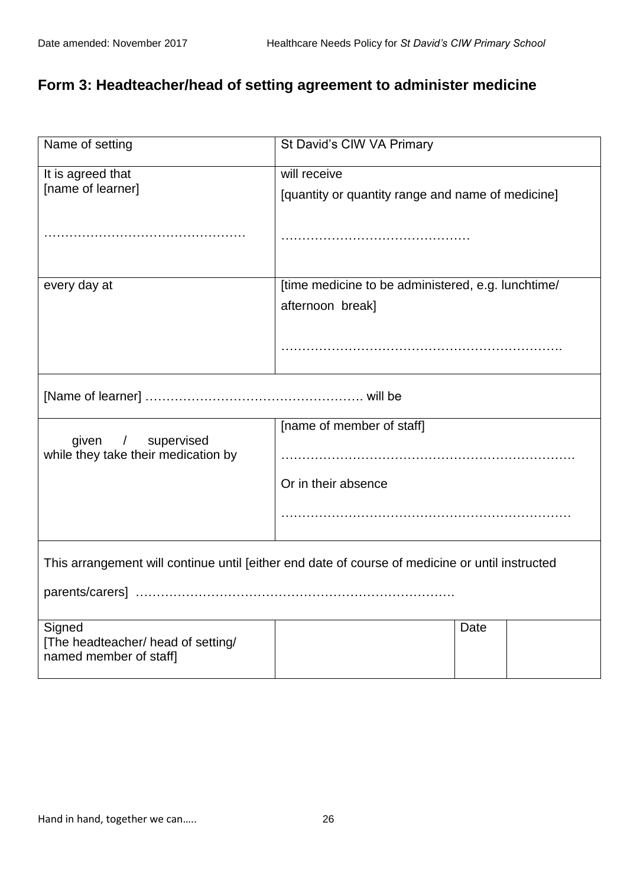# **Form 3: Headteacher/head of setting agreement to administer medicine**

| Name of setting                                              | St David's CIW VA Primary                                                                       |  |
|--------------------------------------------------------------|-------------------------------------------------------------------------------------------------|--|
| It is agreed that                                            | will receive                                                                                    |  |
| [name of learner]                                            | [quantity or quantity range and name of medicine]                                               |  |
|                                                              |                                                                                                 |  |
|                                                              |                                                                                                 |  |
|                                                              |                                                                                                 |  |
| every day at                                                 | [time medicine to be administered, e.g. lunchtime/                                              |  |
|                                                              | afternoon break]                                                                                |  |
|                                                              |                                                                                                 |  |
|                                                              |                                                                                                 |  |
|                                                              |                                                                                                 |  |
|                                                              |                                                                                                 |  |
|                                                              |                                                                                                 |  |
|                                                              | [name of member of staff]                                                                       |  |
| given / supervised<br>while they take their medication by    |                                                                                                 |  |
|                                                              |                                                                                                 |  |
|                                                              | Or in their absence                                                                             |  |
|                                                              |                                                                                                 |  |
|                                                              |                                                                                                 |  |
|                                                              |                                                                                                 |  |
|                                                              | This arrangement will continue until [either end date of course of medicine or until instructed |  |
|                                                              |                                                                                                 |  |
|                                                              |                                                                                                 |  |
| Signed                                                       | Date                                                                                            |  |
| [The headteacher/ head of setting/<br>named member of staff] |                                                                                                 |  |
|                                                              |                                                                                                 |  |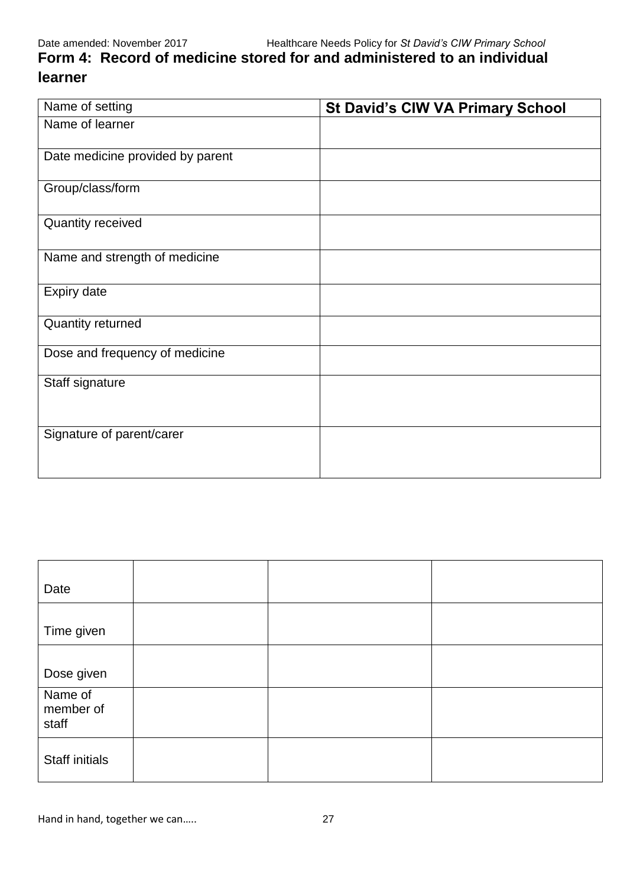**Form 4: Record of medicine stored for and administered to an individual learner**

| Name of setting                  | <b>St David's CIW VA Primary School</b> |
|----------------------------------|-----------------------------------------|
| Name of learner                  |                                         |
| Date medicine provided by parent |                                         |
| Group/class/form                 |                                         |
| Quantity received                |                                         |
| Name and strength of medicine    |                                         |
| Expiry date                      |                                         |
| Quantity returned                |                                         |
| Dose and frequency of medicine   |                                         |
| Staff signature                  |                                         |
| Signature of parent/carer        |                                         |

| Date                          |  |  |
|-------------------------------|--|--|
| Time given                    |  |  |
| Dose given                    |  |  |
| Name of<br>member of<br>staff |  |  |
| Staff initials                |  |  |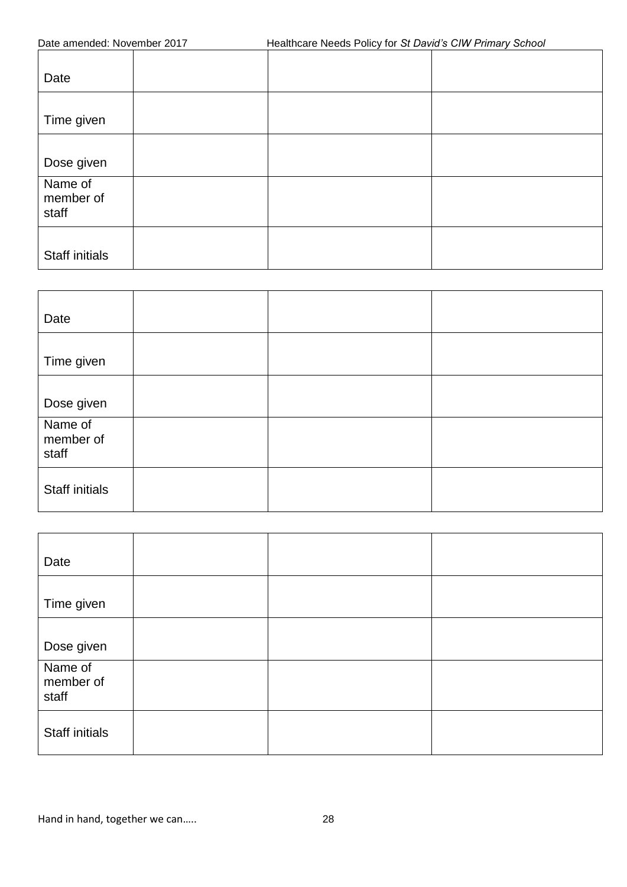| Healthcare Needs Policy for St David's CIW Primary School<br>Date amended: November 2017 |  |  |  |
|------------------------------------------------------------------------------------------|--|--|--|
| Date                                                                                     |  |  |  |
| Time given                                                                               |  |  |  |
| Dose given                                                                               |  |  |  |
| Name of<br>member of<br>staff                                                            |  |  |  |
| <b>Staff initials</b>                                                                    |  |  |  |

| Date                          |  |  |
|-------------------------------|--|--|
| Time given                    |  |  |
| Dose given                    |  |  |
| Name of<br>member of<br>staff |  |  |
| <b>Staff initials</b>         |  |  |

| Date                          |  |  |
|-------------------------------|--|--|
| Time given                    |  |  |
| Dose given                    |  |  |
| Name of<br>member of<br>staff |  |  |
| Staff initials                |  |  |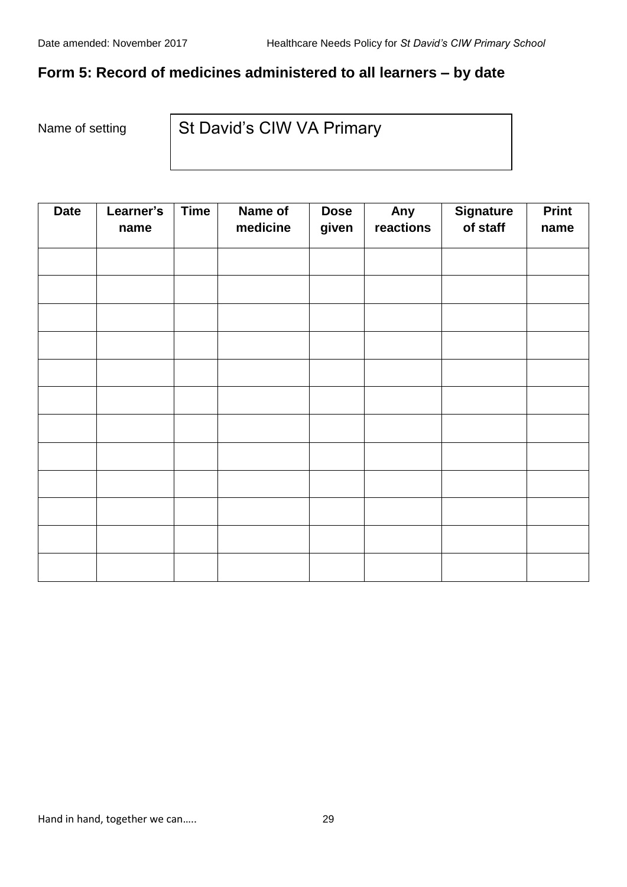# **Form 5: Record of medicines administered to all learners ‒ by date**

Name of setting

St David's CIW VA Primary

| <b>Date</b> | Learner's<br>name | <b>Time</b> | Name of<br>medicine | <b>Dose</b><br>given | Any<br>reactions | <b>Signature</b><br>of staff | <b>Print</b><br>name |
|-------------|-------------------|-------------|---------------------|----------------------|------------------|------------------------------|----------------------|
|             |                   |             |                     |                      |                  |                              |                      |
|             |                   |             |                     |                      |                  |                              |                      |
|             |                   |             |                     |                      |                  |                              |                      |
|             |                   |             |                     |                      |                  |                              |                      |
|             |                   |             |                     |                      |                  |                              |                      |
|             |                   |             |                     |                      |                  |                              |                      |
|             |                   |             |                     |                      |                  |                              |                      |
|             |                   |             |                     |                      |                  |                              |                      |
|             |                   |             |                     |                      |                  |                              |                      |
|             |                   |             |                     |                      |                  |                              |                      |
|             |                   |             |                     |                      |                  |                              |                      |
|             |                   |             |                     |                      |                  |                              |                      |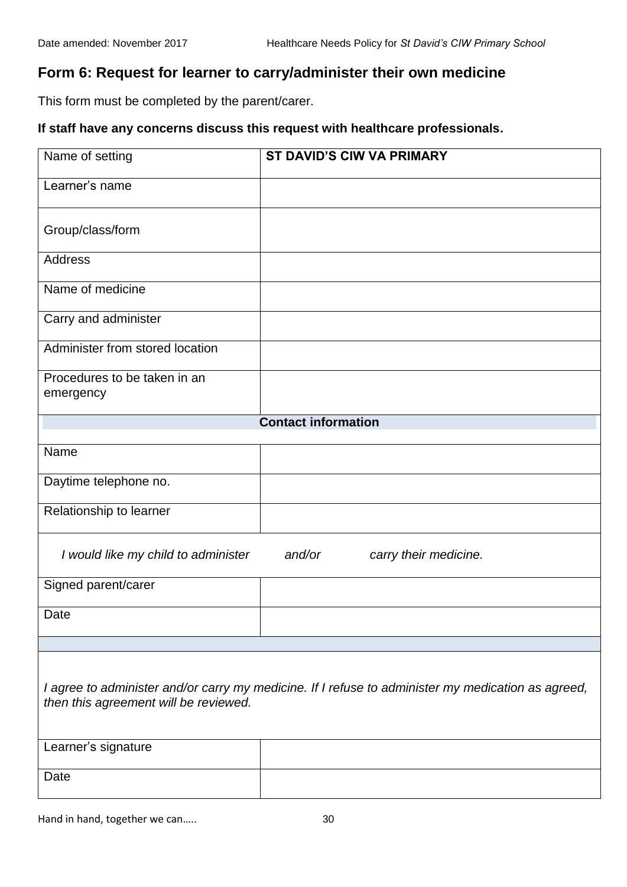# **Form 6: Request for learner to carry/administer their own medicine**

This form must be completed by the parent/carer.

# **If staff have any concerns discuss this request with healthcare professionals.**

| Name of setting                       | <b>ST DAVID'S CIW VA PRIMARY</b>                                                                   |
|---------------------------------------|----------------------------------------------------------------------------------------------------|
|                                       |                                                                                                    |
| Learner's name                        |                                                                                                    |
|                                       |                                                                                                    |
| Group/class/form                      |                                                                                                    |
|                                       |                                                                                                    |
| <b>Address</b>                        |                                                                                                    |
| Name of medicine                      |                                                                                                    |
|                                       |                                                                                                    |
| Carry and administer                  |                                                                                                    |
| Administer from stored location       |                                                                                                    |
| Procedures to be taken in an          |                                                                                                    |
| emergency                             |                                                                                                    |
|                                       |                                                                                                    |
|                                       | <b>Contact information</b>                                                                         |
| Name                                  |                                                                                                    |
|                                       |                                                                                                    |
| Daytime telephone no.                 |                                                                                                    |
| Relationship to learner               |                                                                                                    |
|                                       |                                                                                                    |
| I would like my child to administer   | and/or<br>carry their medicine.                                                                    |
|                                       |                                                                                                    |
| Signed parent/carer                   |                                                                                                    |
| Date                                  |                                                                                                    |
|                                       |                                                                                                    |
|                                       |                                                                                                    |
|                                       |                                                                                                    |
|                                       | I agree to administer and/or carry my medicine. If I refuse to administer my medication as agreed, |
| then this agreement will be reviewed. |                                                                                                    |
|                                       |                                                                                                    |
| Learner's signature                   |                                                                                                    |
|                                       |                                                                                                    |
| Date                                  |                                                                                                    |
|                                       |                                                                                                    |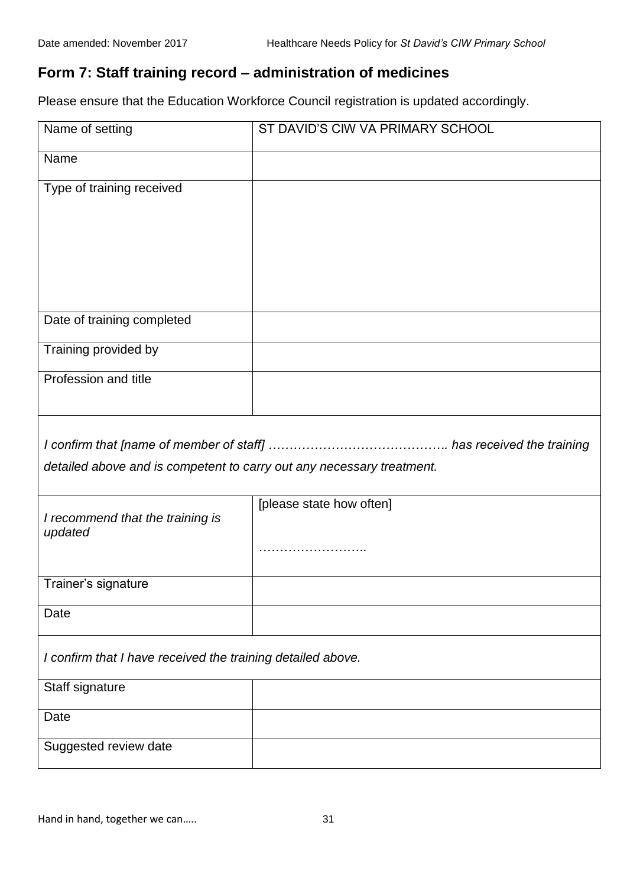# **Form 7: Staff training record ‒ administration of medicines**

Please ensure that the Education Workforce Council registration is updated accordingly.

| Name of setting                                                       | ST DAVID'S CIW VA PRIMARY SCHOOL |  |
|-----------------------------------------------------------------------|----------------------------------|--|
| Name                                                                  |                                  |  |
| Type of training received                                             |                                  |  |
|                                                                       |                                  |  |
|                                                                       |                                  |  |
|                                                                       |                                  |  |
|                                                                       |                                  |  |
| Date of training completed                                            |                                  |  |
| Training provided by                                                  |                                  |  |
| Profession and title                                                  |                                  |  |
|                                                                       |                                  |  |
|                                                                       |                                  |  |
| detailed above and is competent to carry out any necessary treatment. |                                  |  |
|                                                                       | [please state how often]         |  |
| I recommend that the training is<br>updated                           |                                  |  |
|                                                                       |                                  |  |
| Trainer's signature                                                   |                                  |  |
| Date                                                                  |                                  |  |
|                                                                       |                                  |  |
| I confirm that I have received the training detailed above.           |                                  |  |
| Staff signature                                                       |                                  |  |
| Date                                                                  |                                  |  |
| Suggested review date                                                 |                                  |  |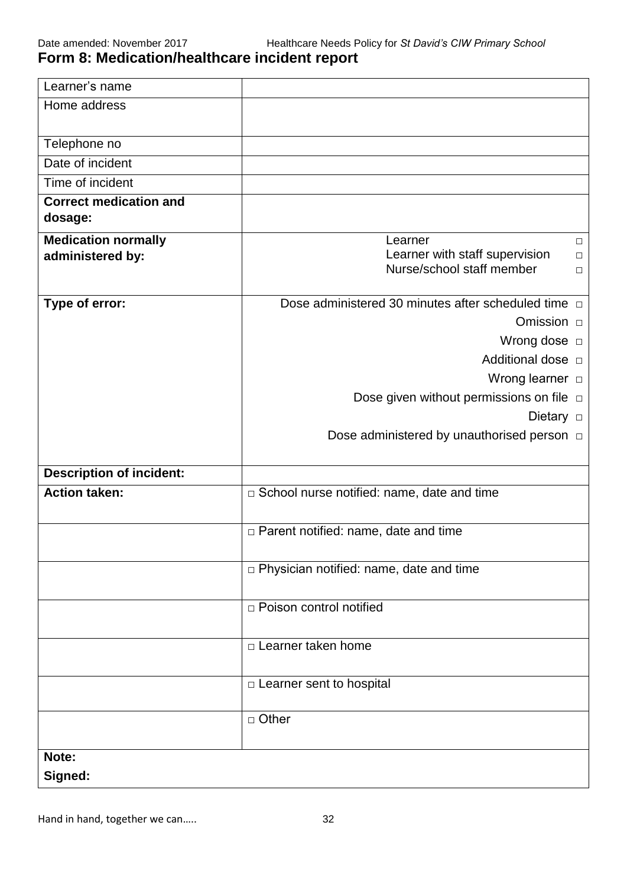# **Form 8: Medication/healthcare incident report**

| Learner's name                                 |                                                                                                      |
|------------------------------------------------|------------------------------------------------------------------------------------------------------|
| Home address                                   |                                                                                                      |
| Telephone no                                   |                                                                                                      |
| Date of incident                               |                                                                                                      |
| Time of incident                               |                                                                                                      |
| <b>Correct medication and</b><br>dosage:       |                                                                                                      |
| <b>Medication normally</b><br>administered by: | Learner<br>$\Box$<br>Learner with staff supervision<br>$\Box$<br>Nurse/school staff member<br>$\Box$ |
| Type of error:                                 | Dose administered 30 minutes after scheduled time $\Box$                                             |
|                                                | Omission <b>D</b>                                                                                    |
|                                                | Wrong dose $\Box$                                                                                    |
|                                                | Additional dose $\Box$                                                                               |
|                                                | Wrong learner $\Box$                                                                                 |
|                                                | Dose given without permissions on file $\Box$                                                        |
|                                                | Dietary $\Box$                                                                                       |
|                                                | Dose administered by unauthorised person $\Box$                                                      |
| <b>Description of incident:</b>                |                                                                                                      |
| <b>Action taken:</b>                           | □ School nurse notified: name, date and time                                                         |
|                                                | $\Box$ Parent notified: name, date and time                                                          |
|                                                | p Physician notified: name, date and time                                                            |
|                                                | □ Poison control notified                                                                            |
|                                                | $\Box$ Learner taken home                                                                            |
|                                                | $\Box$ Learner sent to hospital                                                                      |
|                                                | $\Box$ Other                                                                                         |
| Note:                                          |                                                                                                      |
| Signed:                                        |                                                                                                      |